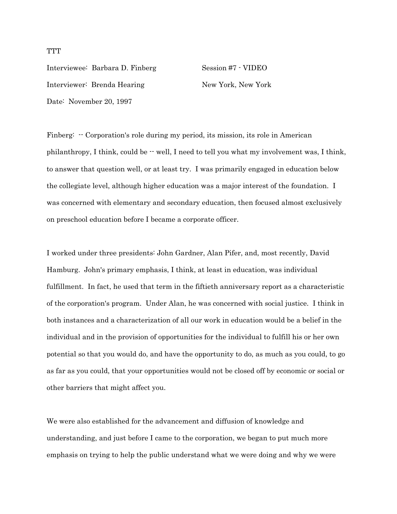Interviewee: Barbara D. Finberg Session #7 - VIDEO Interviewer: Brenda Hearing New York, New York Date: November 20, 1997

Finberg:  $\cdot$  Corporation's role during my period, its mission, its role in American philanthropy, I think, could be  $-$  well, I need to tell you what my involvement was, I think, to answer that question well, or at least try. I was primarily engaged in education below the collegiate level, although higher education was a major interest of the foundation. I was concerned with elementary and secondary education, then focused almost exclusively on preschool education before I became a corporate officer.

I worked under three presidents: John Gardner, Alan Pifer, and, most recently, David Hamburg. John's primary emphasis, I think, at least in education, was individual fulfillment. In fact, he used that term in the fiftieth anniversary report as a characteristic of the corporation's program. Under Alan, he was concerned with social justice. I think in both instances and a characterization of all our work in education would be a belief in the individual and in the provision of opportunities for the individual to fulfill his or her own potential so that you would do, and have the opportunity to do, as much as you could, to go as far as you could, that your opportunities would not be closed off by economic or social or other barriers that might affect you.

We were also established for the advancement and diffusion of knowledge and understanding, and just before I came to the corporation, we began to put much more emphasis on trying to help the public understand what we were doing and why we were

## **TTT**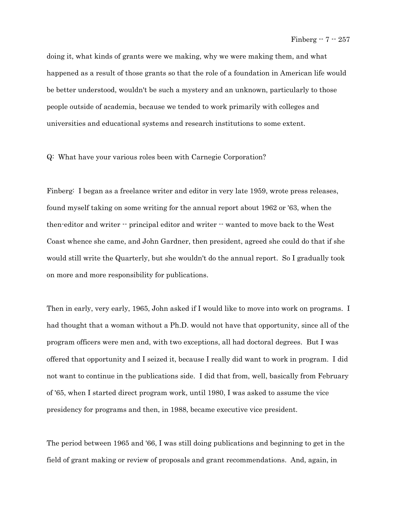doing it, what kinds of grants were we making, why we were making them, and what happened as a result of those grants so that the role of a foundation in American life would be better understood, wouldn't be such a mystery and an unknown, particularly to those people outside of academia, because we tended to work primarily with colleges and universities and educational systems and research institutions to some extent.

## Q: What have your various roles been with Carnegie Corporation?

Finberg: I began as a freelance writer and editor in very late 1959, wrote press releases, found myself taking on some writing for the annual report about 1962 or '63, when the then-editor and writer -- principal editor and writer -- wanted to move back to the West Coast whence she came, and John Gardner, then president, agreed she could do that if she would still write the Quarterly, but she wouldn't do the annual report. So I gradually took on more and more responsibility for publications.

Then in early, very early, 1965, John asked if I would like to move into work on programs. I had thought that a woman without a Ph.D. would not have that opportunity, since all of the program officers were men and, with two exceptions, all had doctoral degrees. But I was offered that opportunity and I seized it, because I really did want to work in program. I did not want to continue in the publications side. I did that from, well, basically from February of '65, when I started direct program work, until 1980, I was asked to assume the vice presidency for programs and then, in 1988, became executive vice president.

The period between 1965 and '66, I was still doing publications and beginning to get in the field of grant making or review of proposals and grant recommendations. And, again, in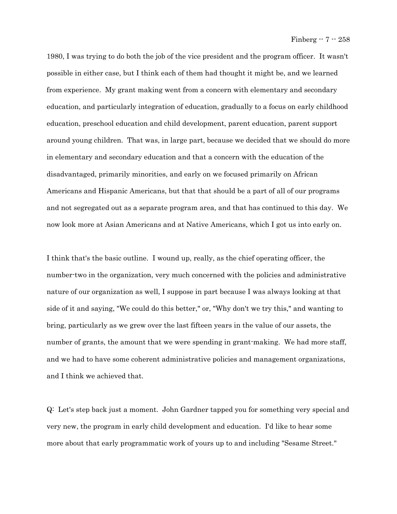1980, I was trying to do both the job of the vice president and the program officer. It wasn't possible in either case, but I think each of them had thought it might be, and we learned from experience. My grant making went from a concern with elementary and secondary education, and particularly integration of education, gradually to a focus on early childhood education, preschool education and child development, parent education, parent support around young children. That was, in large part, because we decided that we should do more in elementary and secondary education and that a concern with the education of the disadvantaged, primarily minorities, and early on we focused primarily on African Americans and Hispanic Americans, but that that should be a part of all of our programs and not segregated out as a separate program area, and that has continued to this day. We now look more at Asian Americans and at Native Americans, which I got us into early on.

I think that's the basic outline. I wound up, really, as the chief operating officer, the number-two in the organization, very much concerned with the policies and administrative nature of our organization as well, I suppose in part because I was always looking at that side of it and saying, "We could do this better," or, "Why don't we try this," and wanting to bring, particularly as we grew over the last fifteen years in the value of our assets, the number of grants, the amount that we were spending in grant-making. We had more staff, and we had to have some coherent administrative policies and management organizations, and I think we achieved that.

Q: Let's step back just a moment. John Gardner tapped you for something very special and very new, the program in early child development and education. I'd like to hear some more about that early programmatic work of yours up to and including "Sesame Street."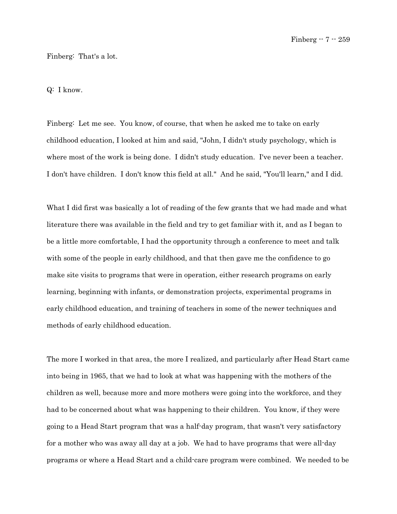## Finberg: That's a lot.

Q: I know.

Finberg: Let me see. You know, of course, that when he asked me to take on early childhood education, I looked at him and said, "John, I didn't study psychology, which is where most of the work is being done. I didn't study education. I've never been a teacher. I don't have children. I don't know this field at all." And he said, "You'll learn," and I did.

What I did first was basically a lot of reading of the few grants that we had made and what literature there was available in the field and try to get familiar with it, and as I began to be a little more comfortable, I had the opportunity through a conference to meet and talk with some of the people in early childhood, and that then gave me the confidence to go make site visits to programs that were in operation, either research programs on early learning, beginning with infants, or demonstration projects, experimental programs in early childhood education, and training of teachers in some of the newer techniques and methods of early childhood education.

The more I worked in that area, the more I realized, and particularly after Head Start came into being in 1965, that we had to look at what was happening with the mothers of the children as well, because more and more mothers were going into the workforce, and they had to be concerned about what was happening to their children. You know, if they were going to a Head Start program that was a half-day program, that wasn't very satisfactory for a mother who was away all day at a job. We had to have programs that were all-day programs or where a Head Start and a child-care program were combined. We needed to be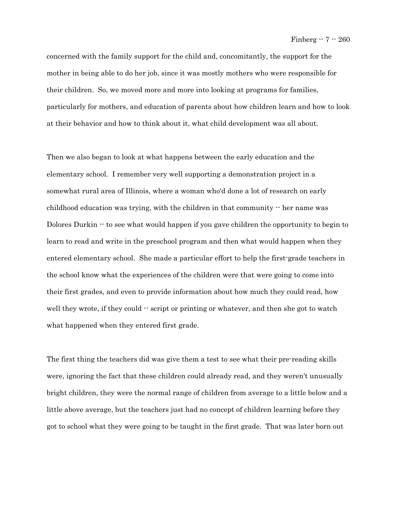concerned with the family support for the child and, concomitantly, the support for the mother in being able to do her job, since it was mostly mothers who were responsible for their children. So, we moved more and more into looking at programs for families, particularly for mothers, and education of parents about how children learn and how to look at their behavior and how to think about it, what child development was all about.

Then we also began to look at what happens between the early education and the elementary school. I remember very well supporting a demonstration project in a somewhat rural area of Illinois, where a woman who'd done a lot of research on early childhood education was trying, with the children in that community  $\cdot$  her name was Dolores Durkin -- to see what would happen if you gave children the opportunity to begin to learn to read and write in the preschool program and then what would happen when they entered elementary school. She made a particular effort to help the first-grade teachers in the school know what the experiences of the children were that were going to come into their first grades, and even to provide information about how much they could read, how well they wrote, if they could  $\cdot$  script or printing or whatever, and then she got to watch what happened when they entered first grade.

The first thing the teachers did was give them a test to see what their pre-reading skills were, ignoring the fact that these children could already read, and they weren't unusually bright children, they were the normal range of children from average to a little below and a little above average, but the teachers just had no concept of children learning before they got to school what they were going to be taught in the first grade. That was later born out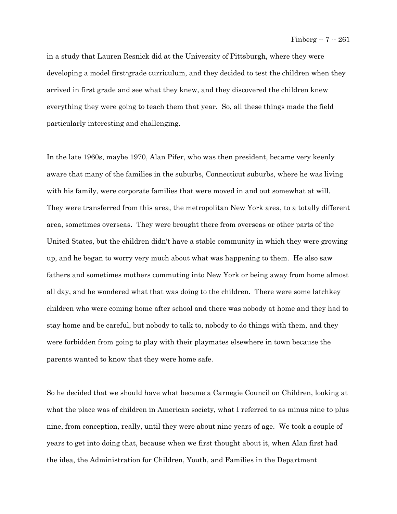in a study that Lauren Resnick did at the University of Pittsburgh, where they were developing a model first-grade curriculum, and they decided to test the children when they arrived in first grade and see what they knew, and they discovered the children knew everything they were going to teach them that year. So, all these things made the field particularly interesting and challenging.

In the late 1960s, maybe 1970, Alan Pifer, who was then president, became very keenly aware that many of the families in the suburbs, Connecticut suburbs, where he was living with his family, were corporate families that were moved in and out somewhat at will. They were transferred from this area, the metropolitan New York area, to a totally different area, sometimes overseas. They were brought there from overseas or other parts of the United States, but the children didn't have a stable community in which they were growing up, and he began to worry very much about what was happening to them. He also saw fathers and sometimes mothers commuting into New York or being away from home almost all day, and he wondered what that was doing to the children. There were some latchkey children who were coming home after school and there was nobody at home and they had to stay home and be careful, but nobody to talk to, nobody to do things with them, and they were forbidden from going to play with their playmates elsewhere in town because the parents wanted to know that they were home safe.

So he decided that we should have what became a Carnegie Council on Children, looking at what the place was of children in American society, what I referred to as minus nine to plus nine, from conception, really, until they were about nine years of age. We took a couple of years to get into doing that, because when we first thought about it, when Alan first had the idea, the Administration for Children, Youth, and Families in the Department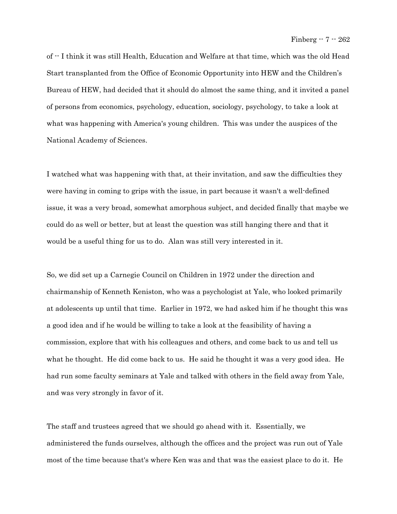of -- I think it was still Health, Education and Welfare at that time, which was the old Head Start transplanted from the Office of Economic Opportunity into HEW and the Children's Bureau of HEW, had decided that it should do almost the same thing, and it invited a panel of persons from economics, psychology, education, sociology, psychology, to take a look at what was happening with America's young children. This was under the auspices of the National Academy of Sciences.

I watched what was happening with that, at their invitation, and saw the difficulties they were having in coming to grips with the issue, in part because it wasn't a well-defined issue, it was a very broad, somewhat amorphous subject, and decided finally that maybe we could do as well or better, but at least the question was still hanging there and that it would be a useful thing for us to do. Alan was still very interested in it.

So, we did set up a Carnegie Council on Children in 1972 under the direction and chairmanship of Kenneth Keniston, who was a psychologist at Yale, who looked primarily at adolescents up until that time. Earlier in 1972, we had asked him if he thought this was a good idea and if he would be willing to take a look at the feasibility of having a commission, explore that with his colleagues and others, and come back to us and tell us what he thought. He did come back to us. He said he thought it was a very good idea. He had run some faculty seminars at Yale and talked with others in the field away from Yale, and was very strongly in favor of it.

The staff and trustees agreed that we should go ahead with it. Essentially, we administered the funds ourselves, although the offices and the project was run out of Yale most of the time because that's where Ken was and that was the easiest place to do it. He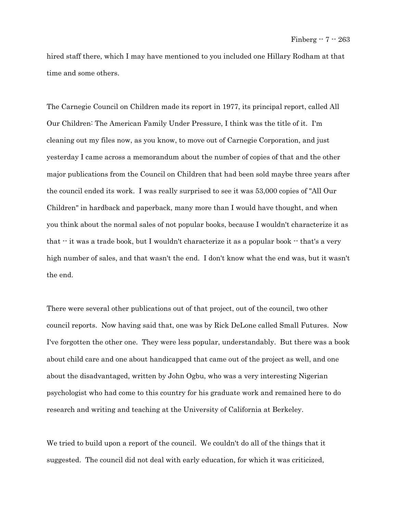hired staff there, which I may have mentioned to you included one Hillary Rodham at that time and some others.

The Carnegie Council on Children made its report in 1977, its principal report, called All Our Children: The American Family Under Pressure, I think was the title of it. I'm cleaning out my files now, as you know, to move out of Carnegie Corporation, and just yesterday I came across a memorandum about the number of copies of that and the other major publications from the Council on Children that had been sold maybe three years after the council ended its work. I was really surprised to see it was 53,000 copies of "All Our Children" in hardback and paperback, many more than I would have thought, and when you think about the normal sales of not popular books, because I wouldn't characterize it as that  $\cdot$  it was a trade book, but I wouldn't characterize it as a popular book  $\cdot$  that's a very high number of sales, and that wasn't the end. I don't know what the end was, but it wasn't the end.

There were several other publications out of that project, out of the council, two other council reports. Now having said that, one was by Rick DeLone called Small Futures. Now I've forgotten the other one. They were less popular, understandably. But there was a book about child care and one about handicapped that came out of the project as well, and one about the disadvantaged, written by John Ogbu, who was a very interesting Nigerian psychologist who had come to this country for his graduate work and remained here to do research and writing and teaching at the University of California at Berkeley.

We tried to build upon a report of the council. We couldn't do all of the things that it suggested. The council did not deal with early education, for which it was criticized,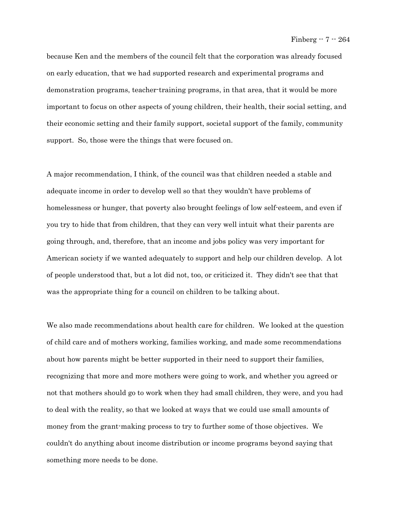because Ken and the members of the council felt that the corporation was already focused on early education, that we had supported research and experimental programs and demonstration programs, teacher-training programs, in that area, that it would be more important to focus on other aspects of young children, their health, their social setting, and their economic setting and their family support, societal support of the family, community support. So, those were the things that were focused on.

A major recommendation, I think, of the council was that children needed a stable and adequate income in order to develop well so that they wouldn't have problems of homelessness or hunger, that poverty also brought feelings of low self-esteem, and even if you try to hide that from children, that they can very well intuit what their parents are going through, and, therefore, that an income and jobs policy was very important for American society if we wanted adequately to support and help our children develop. A lot of people understood that, but a lot did not, too, or criticized it. They didn't see that that was the appropriate thing for a council on children to be talking about.

We also made recommendations about health care for children. We looked at the question of child care and of mothers working, families working, and made some recommendations about how parents might be better supported in their need to support their families, recognizing that more and more mothers were going to work, and whether you agreed or not that mothers should go to work when they had small children, they were, and you had to deal with the reality, so that we looked at ways that we could use small amounts of money from the grant-making process to try to further some of those objectives. We couldn't do anything about income distribution or income programs beyond saying that something more needs to be done.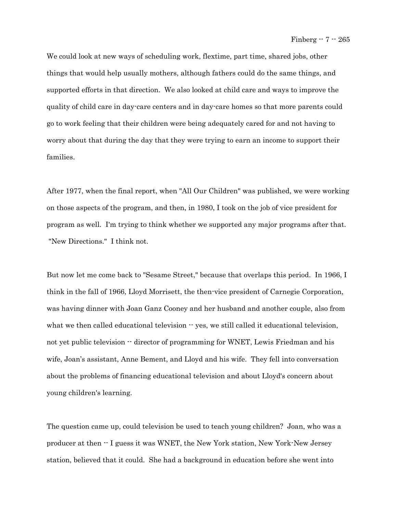We could look at new ways of scheduling work, flextime, part time, shared jobs, other things that would help usually mothers, although fathers could do the same things, and supported efforts in that direction. We also looked at child care and ways to improve the quality of child care in day-care centers and in day-care homes so that more parents could go to work feeling that their children were being adequately cared for and not having to worry about that during the day that they were trying to earn an income to support their families.

After 1977, when the final report, when "All Our Children" was published, we were working on those aspects of the program, and then, in 1980, I took on the job of vice president for program as well. I'm trying to think whether we supported any major programs after that. "New Directions." I think not.

But now let me come back to "Sesame Street," because that overlaps this period. In 1966, I think in the fall of 1966, Lloyd Morrisett, the then-vice president of Carnegie Corporation, was having dinner with Joan Ganz Cooney and her husband and another couple, also from what we then called educational television  $-$  yes, we still called it educational television, not yet public television  $\cdot \cdot$  director of programming for WNET, Lewis Friedman and his wife, Joan's assistant, Anne Bement, and Lloyd and his wife. They fell into conversation about the problems of financing educational television and about Lloyd's concern about young children's learning.

The question came up, could television be used to teach young children? Joan, who was a producer at then -- I guess it was WNET, the New York station, New York-New Jersey station, believed that it could. She had a background in education before she went into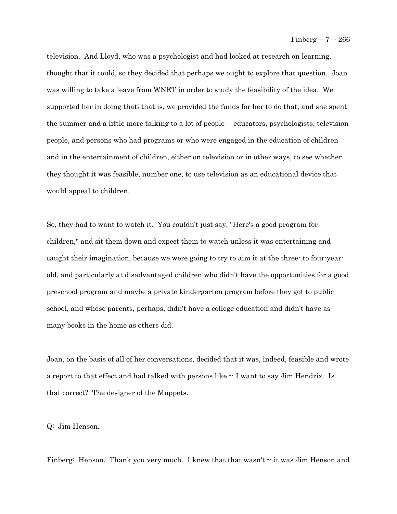television. And Lloyd, who was a psychologist and had looked at research on learning, thought that it could, so they decided that perhaps we ought to explore that question. Joan was willing to take a leave from WNET in order to study the feasibility of the idea. We supported her in doing that; that is, we provided the funds for her to do that, and she spent the summer and a little more talking to a lot of people -- educators, psychologists, television people, and persons who had programs or who were engaged in the education of children and in the entertainment of children, either on television or in other ways, to see whether they thought it was feasible, number one, to use television as an educational device that would appeal to children.

So, they had to want to watch it. You couldn't just say, "Here's a good program for children," and sit them down and expect them to watch unless it was entertaining and caught their imagination, because we were going to try to aim it at the three- to four-yearold, and particularly at disadvantaged children who didn't have the opportunities for a good preschool program and maybe a private kindergarten program before they got to public school, and whose parents, perhaps, didn't have a college education and didn't have as many books in the home as others did.

Joan, on the basis of all of her conversations, decided that it was, indeed, feasible and wrote a report to that effect and had talked with persons like  $\cdot$  I want to say Jim Hendrix. Is that correct? The designer of the Muppets.

Q: Jim Henson.

Finberg: Henson. Thank you very much. I knew that that wasn't  $\cdot \cdot$  it was Jim Henson and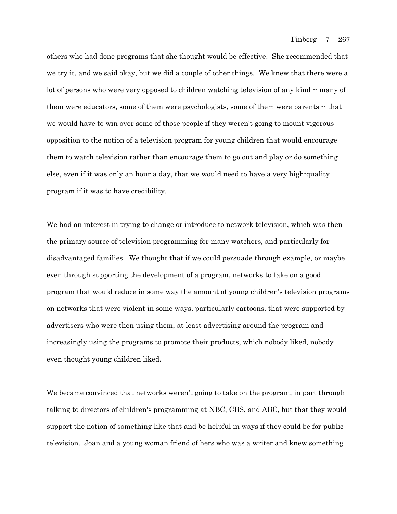others who had done programs that she thought would be effective. She recommended that we try it, and we said okay, but we did a couple of other things. We knew that there were a lot of persons who were very opposed to children watching television of any kind -- many of them were educators, some of them were psychologists, some of them were parents  $\cdot$  that we would have to win over some of those people if they weren't going to mount vigorous opposition to the notion of a television program for young children that would encourage them to watch television rather than encourage them to go out and play or do something else, even if it was only an hour a day, that we would need to have a very high-quality program if it was to have credibility.

We had an interest in trying to change or introduce to network television, which was then the primary source of television programming for many watchers, and particularly for disadvantaged families. We thought that if we could persuade through example, or maybe even through supporting the development of a program, networks to take on a good program that would reduce in some way the amount of young children's television programs on networks that were violent in some ways, particularly cartoons, that were supported by advertisers who were then using them, at least advertising around the program and increasingly using the programs to promote their products, which nobody liked, nobody even thought young children liked.

We became convinced that networks weren't going to take on the program, in part through talking to directors of children's programming at NBC, CBS, and ABC, but that they would support the notion of something like that and be helpful in ways if they could be for public television. Joan and a young woman friend of hers who was a writer and knew something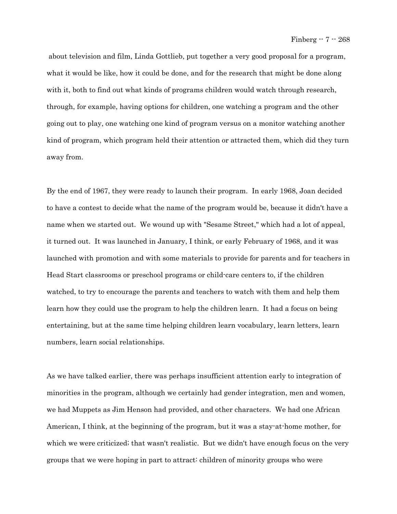about television and film, Linda Gottlieb, put together a very good proposal for a program, what it would be like, how it could be done, and for the research that might be done along with it, both to find out what kinds of programs children would watch through research, through, for example, having options for children, one watching a program and the other going out to play, one watching one kind of program versus on a monitor watching another kind of program, which program held their attention or attracted them, which did they turn away from.

By the end of 1967, they were ready to launch their program. In early 1968, Joan decided to have a contest to decide what the name of the program would be, because it didn't have a name when we started out. We wound up with "Sesame Street," which had a lot of appeal, it turned out. It was launched in January, I think, or early February of 1968, and it was launched with promotion and with some materials to provide for parents and for teachers in Head Start classrooms or preschool programs or child-care centers to, if the children watched, to try to encourage the parents and teachers to watch with them and help them learn how they could use the program to help the children learn. It had a focus on being entertaining, but at the same time helping children learn vocabulary, learn letters, learn numbers, learn social relationships.

As we have talked earlier, there was perhaps insufficient attention early to integration of minorities in the program, although we certainly had gender integration, men and women, we had Muppets as Jim Henson had provided, and other characters. We had one African American, I think, at the beginning of the program, but it was a stay-at-home mother, for which we were criticized; that wasn't realistic. But we didn't have enough focus on the very groups that we were hoping in part to attract: children of minority groups who were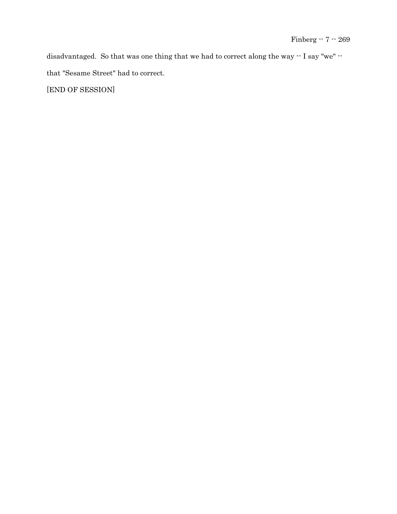disadvantaged. So that was one thing that we had to correct along the way -- I say "we" - that "Sesame Street" had to correct.

[END OF SESSION]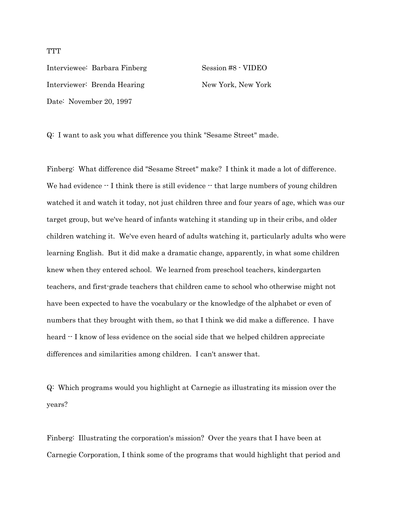Interviewee: Barbara Finberg Session #8 - VIDEO Interviewer: Brenda Hearing New York, New York Date: November 20, 1997

Q: I want to ask you what difference you think "Sesame Street" made.

Finberg: What difference did "Sesame Street" make? I think it made a lot of difference. We had evidence  $\cdot$ - I think there is still evidence  $\cdot$ - that large numbers of young children watched it and watch it today, not just children three and four years of age, which was our target group, but we've heard of infants watching it standing up in their cribs, and older children watching it. We've even heard of adults watching it, particularly adults who were learning English. But it did make a dramatic change, apparently, in what some children knew when they entered school. We learned from preschool teachers, kindergarten teachers, and first-grade teachers that children came to school who otherwise might not have been expected to have the vocabulary or the knowledge of the alphabet or even of numbers that they brought with them, so that I think we did make a difference. I have heard  $\cdot$  I know of less evidence on the social side that we helped children appreciate differences and similarities among children. I can't answer that.

Q: Which programs would you highlight at Carnegie as illustrating its mission over the years?

Finberg: Illustrating the corporation's mission? Over the years that I have been at Carnegie Corporation, I think some of the programs that would highlight that period and

**TTT**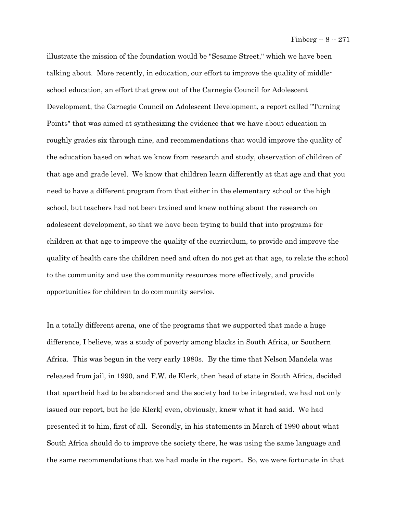illustrate the mission of the foundation would be "Sesame Street," which we have been talking about. More recently, in education, our effort to improve the quality of middleschool education, an effort that grew out of the Carnegie Council for Adolescent Development, the Carnegie Council on Adolescent Development, a report called "Turning Points" that was aimed at synthesizing the evidence that we have about education in roughly grades six through nine, and recommendations that would improve the quality of the education based on what we know from research and study, observation of children of that age and grade level. We know that children learn differently at that age and that you need to have a different program from that either in the elementary school or the high school, but teachers had not been trained and knew nothing about the research on adolescent development, so that we have been trying to build that into programs for children at that age to improve the quality of the curriculum, to provide and improve the quality of health care the children need and often do not get at that age, to relate the school to the community and use the community resources more effectively, and provide opportunities for children to do community service.

In a totally different arena, one of the programs that we supported that made a huge difference, I believe, was a study of poverty among blacks in South Africa, or Southern Africa. This was begun in the very early 1980s. By the time that Nelson Mandela was released from jail, in 1990, and F.W. de Klerk, then head of state in South Africa, decided that apartheid had to be abandoned and the society had to be integrated, we had not only issued our report, but he [de Klerk] even, obviously, knew what it had said. We had presented it to him, first of all. Secondly, in his statements in March of 1990 about what South Africa should do to improve the society there, he was using the same language and the same recommendations that we had made in the report. So, we were fortunate in that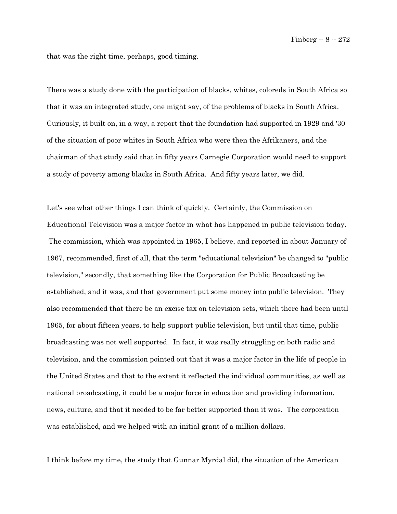that was the right time, perhaps, good timing.

There was a study done with the participation of blacks, whites, coloreds in South Africa so that it was an integrated study, one might say, of the problems of blacks in South Africa. Curiously, it built on, in a way, a report that the foundation had supported in 1929 and '30 of the situation of poor whites in South Africa who were then the Afrikaners, and the chairman of that study said that in fifty years Carnegie Corporation would need to support a study of poverty among blacks in South Africa. And fifty years later, we did.

Let's see what other things I can think of quickly. Certainly, the Commission on Educational Television was a major factor in what has happened in public television today. The commission, which was appointed in 1965, I believe, and reported in about January of 1967, recommended, first of all, that the term "educational television" be changed to "public television," secondly, that something like the Corporation for Public Broadcasting be established, and it was, and that government put some money into public television. They also recommended that there be an excise tax on television sets, which there had been until 1965, for about fifteen years, to help support public television, but until that time, public broadcasting was not well supported. In fact, it was really struggling on both radio and television, and the commission pointed out that it was a major factor in the life of people in the United States and that to the extent it reflected the individual communities, as well as national broadcasting, it could be a major force in education and providing information, news, culture, and that it needed to be far better supported than it was. The corporation was established, and we helped with an initial grant of a million dollars.

I think before my time, the study that Gunnar Myrdal did, the situation of the American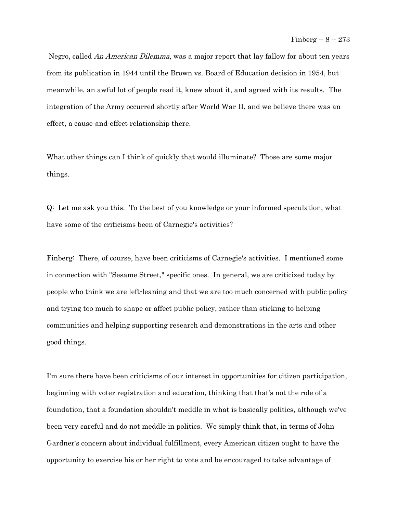Negro, called An American Dilemma, was a major report that lay fallow for about ten years from its publication in 1944 until the Brown vs. Board of Education decision in 1954, but meanwhile, an awful lot of people read it, knew about it, and agreed with its results. The integration of the Army occurred shortly after World War II, and we believe there was an effect, a cause-and-effect relationship there.

What other things can I think of quickly that would illuminate? Those are some major things.

Q: Let me ask you this. To the best of you knowledge or your informed speculation, what have some of the criticisms been of Carnegie's activities?

Finberg: There, of course, have been criticisms of Carnegie's activities. I mentioned some in connection with "Sesame Street," specific ones. In general, we are criticized today by people who think we are left-leaning and that we are too much concerned with public policy and trying too much to shape or affect public policy, rather than sticking to helping communities and helping supporting research and demonstrations in the arts and other good things.

I'm sure there have been criticisms of our interest in opportunities for citizen participation, beginning with voter registration and education, thinking that that's not the role of a foundation, that a foundation shouldn't meddle in what is basically politics, although we've been very careful and do not meddle in politics. We simply think that, in terms of John Gardner's concern about individual fulfillment, every American citizen ought to have the opportunity to exercise his or her right to vote and be encouraged to take advantage of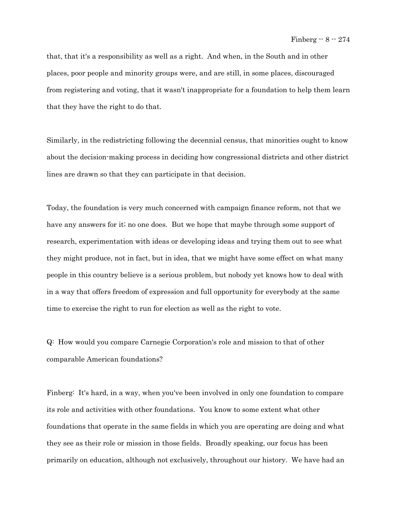that, that it's a responsibility as well as a right. And when, in the South and in other places, poor people and minority groups were, and are still, in some places, discouraged from registering and voting, that it wasn't inappropriate for a foundation to help them learn that they have the right to do that.

Similarly, in the redistricting following the decennial census, that minorities ought to know about the decision-making process in deciding how congressional districts and other district lines are drawn so that they can participate in that decision.

Today, the foundation is very much concerned with campaign finance reform, not that we have any answers for it; no one does. But we hope that maybe through some support of research, experimentation with ideas or developing ideas and trying them out to see what they might produce, not in fact, but in idea, that we might have some effect on what many people in this country believe is a serious problem, but nobody yet knows how to deal with in a way that offers freedom of expression and full opportunity for everybody at the same time to exercise the right to run for election as well as the right to vote.

Q: How would you compare Carnegie Corporation's role and mission to that of other comparable American foundations?

Finberg: It's hard, in a way, when you've been involved in only one foundation to compare its role and activities with other foundations. You know to some extent what other foundations that operate in the same fields in which you are operating are doing and what they see as their role or mission in those fields. Broadly speaking, our focus has been primarily on education, although not exclusively, throughout our history. We have had an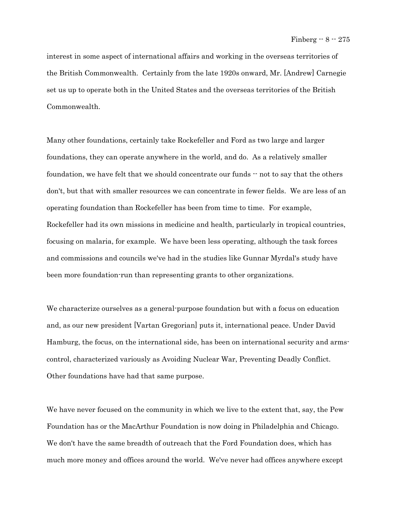interest in some aspect of international affairs and working in the overseas territories of the British Commonwealth. Certainly from the late 1920s onward, Mr. [Andrew] Carnegie set us up to operate both in the United States and the overseas territories of the British Commonwealth.

Many other foundations, certainly take Rockefeller and Ford as two large and larger foundations, they can operate anywhere in the world, and do. As a relatively smaller foundation, we have felt that we should concentrate our funds  $\cdot\cdot$  not to say that the others don't, but that with smaller resources we can concentrate in fewer fields. We are less of an operating foundation than Rockefeller has been from time to time. For example, Rockefeller had its own missions in medicine and health, particularly in tropical countries, focusing on malaria, for example. We have been less operating, although the task forces and commissions and councils we've had in the studies like Gunnar Myrdal's study have been more foundation-run than representing grants to other organizations.

We characterize ourselves as a general-purpose foundation but with a focus on education and, as our new president [Vartan Gregorian] puts it, international peace. Under David Hamburg, the focus, on the international side, has been on international security and armscontrol, characterized variously as Avoiding Nuclear War, Preventing Deadly Conflict. Other foundations have had that same purpose.

We have never focused on the community in which we live to the extent that, say, the Pew Foundation has or the MacArthur Foundation is now doing in Philadelphia and Chicago. We don't have the same breadth of outreach that the Ford Foundation does, which has much more money and offices around the world. We've never had offices anywhere except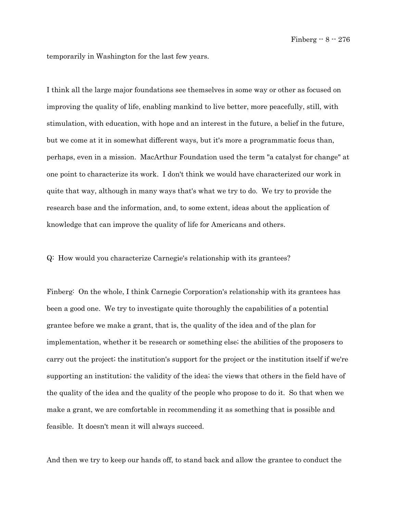temporarily in Washington for the last few years.

I think all the large major foundations see themselves in some way or other as focused on improving the quality of life, enabling mankind to live better, more peacefully, still, with stimulation, with education, with hope and an interest in the future, a belief in the future, but we come at it in somewhat different ways, but it's more a programmatic focus than, perhaps, even in a mission. MacArthur Foundation used the term "a catalyst for change" at one point to characterize its work. I don't think we would have characterized our work in quite that way, although in many ways that's what we try to do. We try to provide the research base and the information, and, to some extent, ideas about the application of knowledge that can improve the quality of life for Americans and others.

Q: How would you characterize Carnegie's relationship with its grantees?

Finberg: On the whole, I think Carnegie Corporation's relationship with its grantees has been a good one. We try to investigate quite thoroughly the capabilities of a potential grantee before we make a grant, that is, the quality of the idea and of the plan for implementation, whether it be research or something else; the abilities of the proposers to carry out the project; the institution's support for the project or the institution itself if we're supporting an institution; the validity of the idea; the views that others in the field have of the quality of the idea and the quality of the people who propose to do it. So that when we make a grant, we are comfortable in recommending it as something that is possible and feasible. It doesn't mean it will always succeed.

And then we try to keep our hands off, to stand back and allow the grantee to conduct the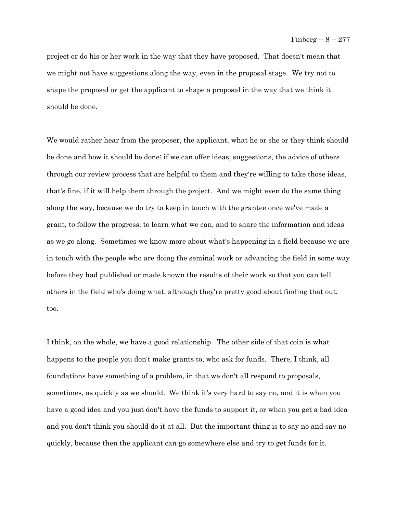project or do his or her work in the way that they have proposed. That doesn't mean that we might not have suggestions along the way, even in the proposal stage. We try not to shape the proposal or get the applicant to shape a proposal in the way that we think it should be done.

We would rather hear from the proposer, the applicant, what he or she or they think should be done and how it should be done; if we can offer ideas, suggestions, the advice of others through our review process that are helpful to them and they're willing to take those ideas, that's fine, if it will help them through the project. And we might even do the same thing along the way, because we do try to keep in touch with the grantee once we've made a grant, to follow the progress, to learn what we can, and to share the information and ideas as we go along. Sometimes we know more about what's happening in a field because we are in touch with the people who are doing the seminal work or advancing the field in some way before they had published or made known the results of their work so that you can tell others in the field who's doing what, although they're pretty good about finding that out, too.

I think, on the whole, we have a good relationship. The other side of that coin is what happens to the people you don't make grants to, who ask for funds. There, I think, all foundations have something of a problem, in that we don't all respond to proposals, sometimes, as quickly as we should. We think it's very hard to say no, and it is when you have a good idea and you just don't have the funds to support it, or when you get a bad idea and you don't think you should do it at all. But the important thing is to say no and say no quickly, because then the applicant can go somewhere else and try to get funds for it.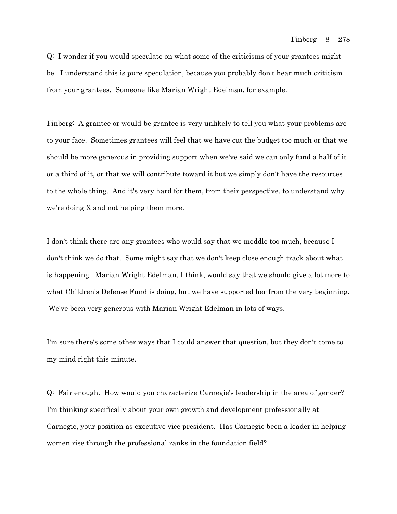Q: I wonder if you would speculate on what some of the criticisms of your grantees might be. I understand this is pure speculation, because you probably don't hear much criticism from your grantees. Someone like Marian Wright Edelman, for example.

Finberg: A grantee or would-be grantee is very unlikely to tell you what your problems are to your face. Sometimes grantees will feel that we have cut the budget too much or that we should be more generous in providing support when we've said we can only fund a half of it or a third of it, or that we will contribute toward it but we simply don't have the resources to the whole thing. And it's very hard for them, from their perspective, to understand why we're doing X and not helping them more.

I don't think there are any grantees who would say that we meddle too much, because I don't think we do that. Some might say that we don't keep close enough track about what is happening. Marian Wright Edelman, I think, would say that we should give a lot more to what Children's Defense Fund is doing, but we have supported her from the very beginning. We've been very generous with Marian Wright Edelman in lots of ways.

I'm sure there's some other ways that I could answer that question, but they don't come to my mind right this minute.

Q: Fair enough. How would you characterize Carnegie's leadership in the area of gender? I'm thinking specifically about your own growth and development professionally at Carnegie, your position as executive vice president. Has Carnegie been a leader in helping women rise through the professional ranks in the foundation field?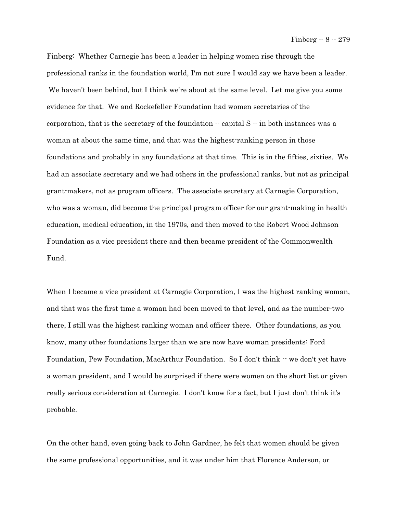Finberg: Whether Carnegie has been a leader in helping women rise through the professional ranks in the foundation world, I'm not sure I would say we have been a leader. We haven't been behind, but I think we're about at the same level. Let me give you some evidence for that. We and Rockefeller Foundation had women secretaries of the corporation, that is the secretary of the foundation  $\cdot$  capital S  $\cdot$  in both instances was a woman at about the same time, and that was the highest-ranking person in those foundations and probably in any foundations at that time. This is in the fifties, sixties. We had an associate secretary and we had others in the professional ranks, but not as principal grant-makers, not as program officers. The associate secretary at Carnegie Corporation, who was a woman, did become the principal program officer for our grant-making in health education, medical education, in the 1970s, and then moved to the Robert Wood Johnson Foundation as a vice president there and then became president of the Commonwealth Fund.

When I became a vice president at Carnegie Corporation, I was the highest ranking woman, and that was the first time a woman had been moved to that level, and as the number-two there, I still was the highest ranking woman and officer there. Other foundations, as you know, many other foundations larger than we are now have woman presidents: Ford Foundation, Pew Foundation, MacArthur Foundation. So I don't think -- we don't yet have a woman president, and I would be surprised if there were women on the short list or given really serious consideration at Carnegie. I don't know for a fact, but I just don't think it's probable.

On the other hand, even going back to John Gardner, he felt that women should be given the same professional opportunities, and it was under him that Florence Anderson, or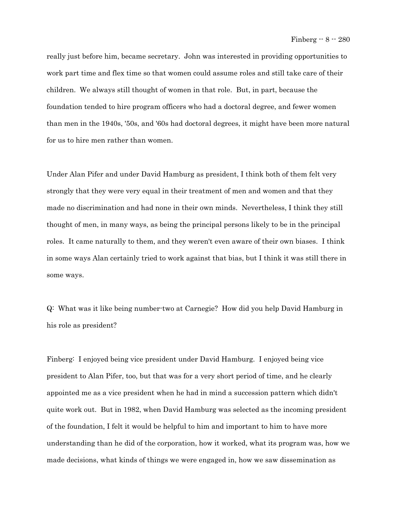really just before him, became secretary. John was interested in providing opportunities to work part time and flex time so that women could assume roles and still take care of their children. We always still thought of women in that role. But, in part, because the foundation tended to hire program officers who had a doctoral degree, and fewer women than men in the 1940s, '50s, and '60s had doctoral degrees, it might have been more natural for us to hire men rather than women.

Under Alan Pifer and under David Hamburg as president, I think both of them felt very strongly that they were very equal in their treatment of men and women and that they made no discrimination and had none in their own minds. Nevertheless, I think they still thought of men, in many ways, as being the principal persons likely to be in the principal roles. It came naturally to them, and they weren't even aware of their own biases. I think in some ways Alan certainly tried to work against that bias, but I think it was still there in some ways.

Q: What was it like being number-two at Carnegie? How did you help David Hamburg in his role as president?

Finberg: I enjoyed being vice president under David Hamburg. I enjoyed being vice president to Alan Pifer, too, but that was for a very short period of time, and he clearly appointed me as a vice president when he had in mind a succession pattern which didn't quite work out. But in 1982, when David Hamburg was selected as the incoming president of the foundation, I felt it would be helpful to him and important to him to have more understanding than he did of the corporation, how it worked, what its program was, how we made decisions, what kinds of things we were engaged in, how we saw dissemination as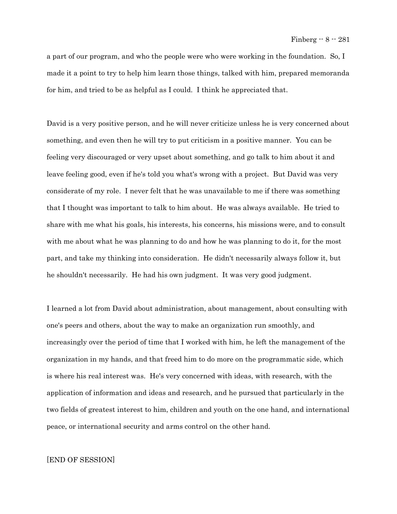a part of our program, and who the people were who were working in the foundation. So, I made it a point to try to help him learn those things, talked with him, prepared memoranda for him, and tried to be as helpful as I could. I think he appreciated that.

David is a very positive person, and he will never criticize unless he is very concerned about something, and even then he will try to put criticism in a positive manner. You can be feeling very discouraged or very upset about something, and go talk to him about it and leave feeling good, even if he's told you what's wrong with a project. But David was very considerate of my role. I never felt that he was unavailable to me if there was something that I thought was important to talk to him about. He was always available. He tried to share with me what his goals, his interests, his concerns, his missions were, and to consult with me about what he was planning to do and how he was planning to do it, for the most part, and take my thinking into consideration. He didn't necessarily always follow it, but he shouldn't necessarily. He had his own judgment. It was very good judgment.

I learned a lot from David about administration, about management, about consulting with one's peers and others, about the way to make an organization run smoothly, and increasingly over the period of time that I worked with him, he left the management of the organization in my hands, and that freed him to do more on the programmatic side, which is where his real interest was. He's very concerned with ideas, with research, with the application of information and ideas and research, and he pursued that particularly in the two fields of greatest interest to him, children and youth on the one hand, and international peace, or international security and arms control on the other hand.

## [END OF SESSION]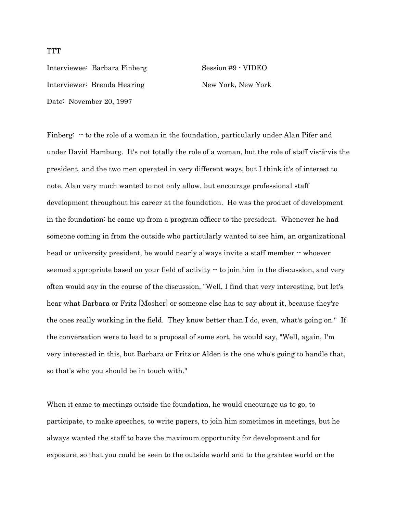**TTT** 

Interviewee: Barbara Finberg Session #9 - VIDEO Interviewer: Brenda Hearing New York, New York Date: November 20, 1997

Finberg:  $\cdot$  to the role of a woman in the foundation, particularly under Alan Pifer and under David Hamburg. It's not totally the role of a woman, but the role of staff vis-à-vis the president, and the two men operated in very different ways, but I think it's of interest to note, Alan very much wanted to not only allow, but encourage professional staff development throughout his career at the foundation. He was the product of development in the foundation: he came up from a program officer to the president. Whenever he had someone coming in from the outside who particularly wanted to see him, an organizational head or university president, he would nearly always invite a staff member  $\cdot\cdot$  whoever seemed appropriate based on your field of activity  $\cdot$  to join him in the discussion, and very often would say in the course of the discussion, "Well, I find that very interesting, but let's hear what Barbara or Fritz [Mosher] or someone else has to say about it, because they're the ones really working in the field. They know better than I do, even, what's going on." If the conversation were to lead to a proposal of some sort, he would say, "Well, again, I'm very interested in this, but Barbara or Fritz or Alden is the one who's going to handle that, so that's who you should be in touch with."

When it came to meetings outside the foundation, he would encourage us to go, to participate, to make speeches, to write papers, to join him sometimes in meetings, but he always wanted the staff to have the maximum opportunity for development and for exposure, so that you could be seen to the outside world and to the grantee world or the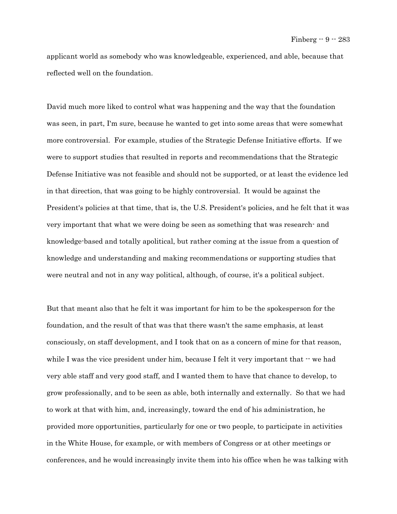applicant world as somebody who was knowledgeable, experienced, and able, because that reflected well on the foundation.

David much more liked to control what was happening and the way that the foundation was seen, in part, I'm sure, because he wanted to get into some areas that were somewhat more controversial. For example, studies of the Strategic Defense Initiative efforts. If we were to support studies that resulted in reports and recommendations that the Strategic Defense Initiative was not feasible and should not be supported, or at least the evidence led in that direction, that was going to be highly controversial. It would be against the President's policies at that time, that is, the U.S. President's policies, and he felt that it was very important that what we were doing be seen as something that was research- and knowledge-based and totally apolitical, but rather coming at the issue from a question of knowledge and understanding and making recommendations or supporting studies that were neutral and not in any way political, although, of course, it's a political subject.

But that meant also that he felt it was important for him to be the spokesperson for the foundation, and the result of that was that there wasn't the same emphasis, at least consciously, on staff development, and I took that on as a concern of mine for that reason, while I was the vice president under him, because I felt it very important that  $\cdot$  we had very able staff and very good staff, and I wanted them to have that chance to develop, to grow professionally, and to be seen as able, both internally and externally. So that we had to work at that with him, and, increasingly, toward the end of his administration, he provided more opportunities, particularly for one or two people, to participate in activities in the White House, for example, or with members of Congress or at other meetings or conferences, and he would increasingly invite them into his office when he was talking with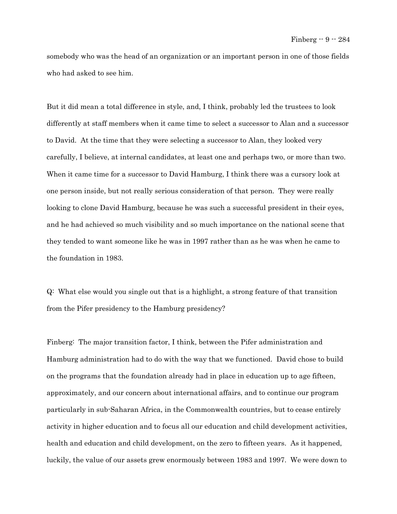somebody who was the head of an organization or an important person in one of those fields who had asked to see him.

But it did mean a total difference in style, and, I think, probably led the trustees to look differently at staff members when it came time to select a successor to Alan and a successor to David. At the time that they were selecting a successor to Alan, they looked very carefully, I believe, at internal candidates, at least one and perhaps two, or more than two. When it came time for a successor to David Hamburg, I think there was a cursory look at one person inside, but not really serious consideration of that person. They were really looking to clone David Hamburg, because he was such a successful president in their eyes, and he had achieved so much visibility and so much importance on the national scene that they tended to want someone like he was in 1997 rather than as he was when he came to the foundation in 1983.

Q: What else would you single out that is a highlight, a strong feature of that transition from the Pifer presidency to the Hamburg presidency?

Finberg: The major transition factor, I think, between the Pifer administration and Hamburg administration had to do with the way that we functioned. David chose to build on the programs that the foundation already had in place in education up to age fifteen, approximately, and our concern about international affairs, and to continue our program particularly in sub-Saharan Africa, in the Commonwealth countries, but to cease entirely activity in higher education and to focus all our education and child development activities, health and education and child development, on the zero to fifteen years. As it happened, luckily, the value of our assets grew enormously between 1983 and 1997. We were down to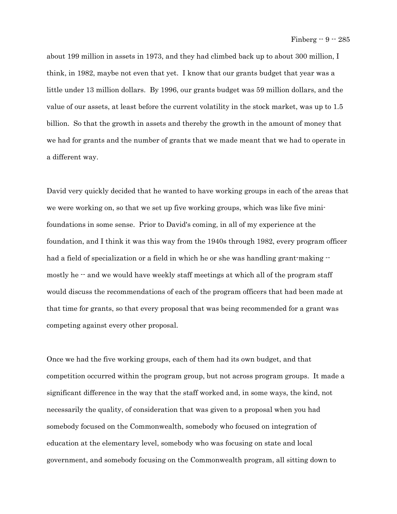about 199 million in assets in 1973, and they had climbed back up to about 300 million, I think, in 1982, maybe not even that yet. I know that our grants budget that year was a little under 13 million dollars. By 1996, our grants budget was 59 million dollars, and the value of our assets, at least before the current volatility in the stock market, was up to 1.5 billion. So that the growth in assets and thereby the growth in the amount of money that we had for grants and the number of grants that we made meant that we had to operate in a different way.

David very quickly decided that he wanted to have working groups in each of the areas that we were working on, so that we set up five working groups, which was like five minifoundations in some sense. Prior to David's coming, in all of my experience at the foundation, and I think it was this way from the 1940s through 1982, every program officer had a field of specialization or a field in which he or she was handling grant-making  $\cdot$ mostly he  $-$  and we would have weekly staff meetings at which all of the program staff would discuss the recommendations of each of the program officers that had been made at that time for grants, so that every proposal that was being recommended for a grant was competing against every other proposal.

Once we had the five working groups, each of them had its own budget, and that competition occurred within the program group, but not across program groups. It made a significant difference in the way that the staff worked and, in some ways, the kind, not necessarily the quality, of consideration that was given to a proposal when you had somebody focused on the Commonwealth, somebody who focused on integration of education at the elementary level, somebody who was focusing on state and local government, and somebody focusing on the Commonwealth program, all sitting down to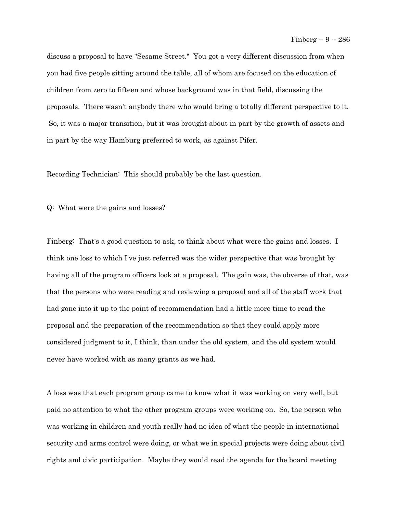discuss a proposal to have "Sesame Street." You got a very different discussion from when you had five people sitting around the table, all of whom are focused on the education of children from zero to fifteen and whose background was in that field, discussing the proposals. There wasn't anybody there who would bring a totally different perspective to it. So, it was a major transition, but it was brought about in part by the growth of assets and in part by the way Hamburg preferred to work, as against Pifer.

Recording Technician: This should probably be the last question.

Q: What were the gains and losses?

Finberg: That's a good question to ask, to think about what were the gains and losses. I think one loss to which I've just referred was the wider perspective that was brought by having all of the program officers look at a proposal. The gain was, the obverse of that, was that the persons who were reading and reviewing a proposal and all of the staff work that had gone into it up to the point of recommendation had a little more time to read the proposal and the preparation of the recommendation so that they could apply more considered judgment to it, I think, than under the old system, and the old system would never have worked with as many grants as we had.

A loss was that each program group came to know what it was working on very well, but paid no attention to what the other program groups were working on. So, the person who was working in children and youth really had no idea of what the people in international security and arms control were doing, or what we in special projects were doing about civil rights and civic participation. Maybe they would read the agenda for the board meeting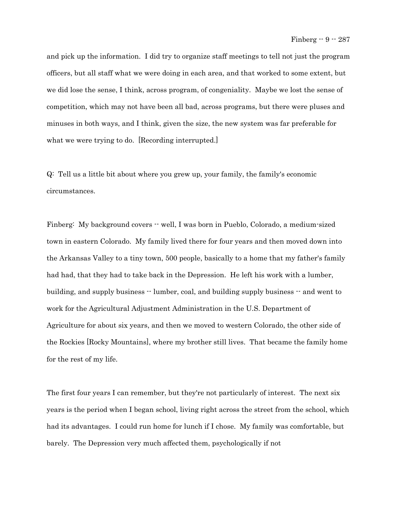and pick up the information. I did try to organize staff meetings to tell not just the program officers, but all staff what we were doing in each area, and that worked to some extent, but we did lose the sense, I think, across program, of congeniality. Maybe we lost the sense of competition, which may not have been all bad, across programs, but there were pluses and minuses in both ways, and I think, given the size, the new system was far preferable for what we were trying to do. [Recording interrupted.]

Q: Tell us a little bit about where you grew up, your family, the family's economic circumstances.

Finberg: My background covers  $-$  well, I was born in Pueblo, Colorado, a medium-sized town in eastern Colorado. My family lived there for four years and then moved down into the Arkansas Valley to a tiny town, 500 people, basically to a home that my father's family had had, that they had to take back in the Depression. He left his work with a lumber, building, and supply business -- lumber, coal, and building supply business -- and went to work for the Agricultural Adjustment Administration in the U.S. Department of Agriculture for about six years, and then we moved to western Colorado, the other side of the Rockies [Rocky Mountains], where my brother still lives. That became the family home for the rest of my life.

The first four years I can remember, but they're not particularly of interest. The next six years is the period when I began school, living right across the street from the school, which had its advantages. I could run home for lunch if I chose. My family was comfortable, but barely. The Depression very much affected them, psychologically if not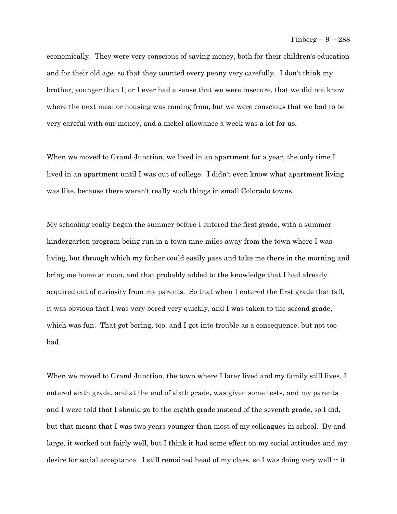economically. They were very conscious of saving money, both for their children's education and for their old age, so that they counted every penny very carefully. I don't think my brother, younger than I, or I ever had a sense that we were insecure, that we did not know where the next meal or housing was coming from, but we were conscious that we had to be very careful with our money, and a nickel allowance a week was a lot for us.

When we moved to Grand Junction, we lived in an apartment for a year, the only time I lived in an apartment until I was out of college. I didn't even know what apartment living was like, because there weren't really such things in small Colorado towns.

My schooling really began the summer before I entered the first grade, with a summer kindergarten program being run in a town nine miles away from the town where I was living, but through which my father could easily pass and take me there in the morning and bring me home at noon, and that probably added to the knowledge that I had already acquired out of curiosity from my parents. So that when I entered the first grade that fall, it was obvious that I was very bored very quickly, and I was taken to the second grade, which was fun. That got boring, too, and I got into trouble as a consequence, but not too bad.

When we moved to Grand Junction, the town where I later lived and my family still lives, I entered sixth grade, and at the end of sixth grade, was given some tests, and my parents and I were told that I should go to the eighth grade instead of the seventh grade, so I did, but that meant that I was two years younger than most of my colleagues in school. By and large, it worked out fairly well, but I think it had some effect on my social attitudes and my desire for social acceptance. I still remained head of my class, so I was doing very well  $\cdot\cdot$  it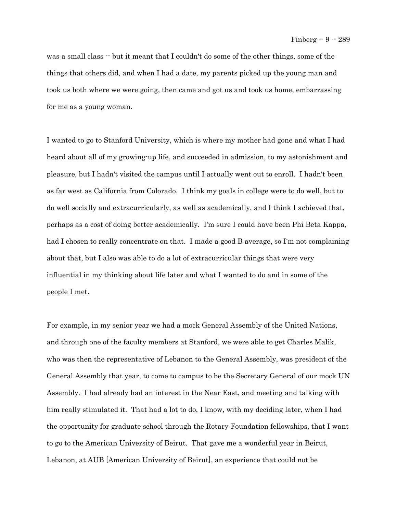was a small class -- but it meant that I couldn't do some of the other things, some of the things that others did, and when I had a date, my parents picked up the young man and took us both where we were going, then came and got us and took us home, embarrassing for me as a young woman.

I wanted to go to Stanford University, which is where my mother had gone and what I had heard about all of my growing-up life, and succeeded in admission, to my astonishment and pleasure, but I hadn't visited the campus until I actually went out to enroll. I hadn't been as far west as California from Colorado. I think my goals in college were to do well, but to do well socially and extracurricularly, as well as academically, and I think I achieved that, perhaps as a cost of doing better academically. I'm sure I could have been Phi Beta Kappa, had I chosen to really concentrate on that. I made a good B average, so I'm not complaining about that, but I also was able to do a lot of extracurricular things that were very influential in my thinking about life later and what I wanted to do and in some of the people I met.

For example, in my senior year we had a mock General Assembly of the United Nations, and through one of the faculty members at Stanford, we were able to get Charles Malik, who was then the representative of Lebanon to the General Assembly, was president of the General Assembly that year, to come to campus to be the Secretary General of our mock UN Assembly. I had already had an interest in the Near East, and meeting and talking with him really stimulated it. That had a lot to do, I know, with my deciding later, when I had the opportunity for graduate school through the Rotary Foundation fellowships, that I want to go to the American University of Beirut. That gave me a wonderful year in Beirut, Lebanon, at AUB [American University of Beirut], an experience that could not be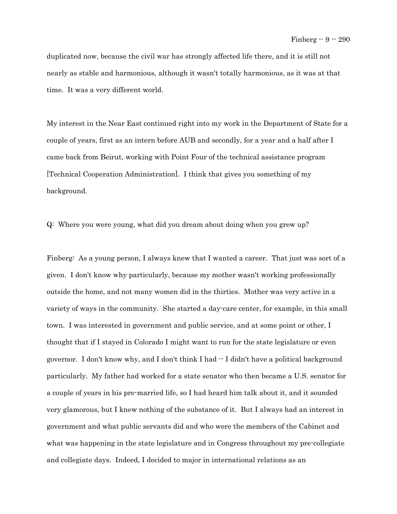duplicated now, because the civil war has strongly affected life there, and it is still not nearly as stable and harmonious, although it wasn't totally harmonious, as it was at that time. It was a very different world.

My interest in the Near East continued right into my work in the Department of State for a couple of years, first as an intern before AUB and secondly, for a year and a half after I came back from Beirut, working with Point Four of the technical assistance program [Technical Cooperation Administration]. I think that gives you something of my background.

Q: Where you were young, what did you dream about doing when you grew up?

Finberg: As a young person, I always knew that I wanted a career. That just was sort of a given. I don't know why particularly, because my mother wasn't working professionally outside the home, and not many women did in the thirties. Mother was very active in a variety of ways in the community. She started a day-care center, for example, in this small town. I was interested in government and public service, and at some point or other, I thought that if I stayed in Colorado I might want to run for the state legislature or even governor. I don't know why, and I don't think I had -- I didn't have a political background particularly. My father had worked for a state senator who then became a U.S. senator for a couple of years in his pre-married life, so I had heard him talk about it, and it sounded very glamorous, but I knew nothing of the substance of it. But I always had an interest in government and what public servants did and who were the members of the Cabinet and what was happening in the state legislature and in Congress throughout my pre-collegiate and collegiate days. Indeed, I decided to major in international relations as an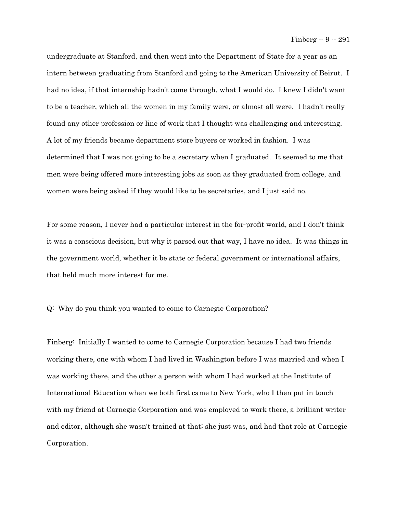undergraduate at Stanford, and then went into the Department of State for a year as an intern between graduating from Stanford and going to the American University of Beirut. I had no idea, if that internship hadn't come through, what I would do. I knew I didn't want to be a teacher, which all the women in my family were, or almost all were. I hadn't really found any other profession or line of work that I thought was challenging and interesting. A lot of my friends became department store buyers or worked in fashion. I was determined that I was not going to be a secretary when I graduated. It seemed to me that men were being offered more interesting jobs as soon as they graduated from college, and women were being asked if they would like to be secretaries, and I just said no.

For some reason, I never had a particular interest in the for-profit world, and I don't think it was a conscious decision, but why it parsed out that way, I have no idea. It was things in the government world, whether it be state or federal government or international affairs, that held much more interest for me.

Q: Why do you think you wanted to come to Carnegie Corporation?

Finberg: Initially I wanted to come to Carnegie Corporation because I had two friends working there, one with whom I had lived in Washington before I was married and when I was working there, and the other a person with whom I had worked at the Institute of International Education when we both first came to New York, who I then put in touch with my friend at Carnegie Corporation and was employed to work there, a brilliant writer and editor, although she wasn't trained at that; she just was, and had that role at Carnegie Corporation.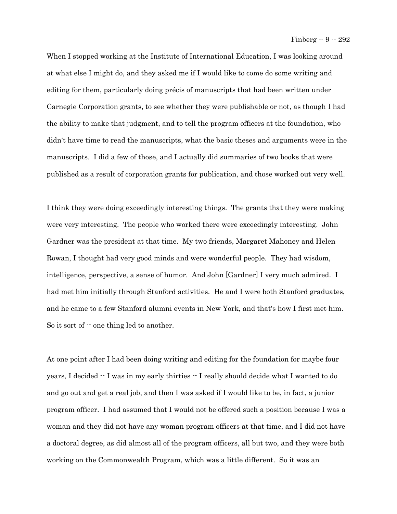When I stopped working at the Institute of International Education, I was looking around at what else I might do, and they asked me if I would like to come do some writing and editing for them, particularly doing précis of manuscripts that had been written under Carnegie Corporation grants, to see whether they were publishable or not, as though I had the ability to make that judgment, and to tell the program officers at the foundation, who didn't have time to read the manuscripts, what the basic theses and arguments were in the manuscripts. I did a few of those, and I actually did summaries of two books that were published as a result of corporation grants for publication, and those worked out very well.

I think they were doing exceedingly interesting things. The grants that they were making were very interesting. The people who worked there were exceedingly interesting. John Gardner was the president at that time. My two friends, Margaret Mahoney and Helen Rowan, I thought had very good minds and were wonderful people. They had wisdom, intelligence, perspective, a sense of humor. And John [Gardner] I very much admired. I had met him initially through Stanford activities. He and I were both Stanford graduates, and he came to a few Stanford alumni events in New York, and that's how I first met him. So it sort of  $\cdot\cdot$  one thing led to another.

At one point after I had been doing writing and editing for the foundation for maybe four years, I decided -- I was in my early thirties -- I really should decide what I wanted to do and go out and get a real job, and then I was asked if I would like to be, in fact, a junior program officer. I had assumed that I would not be offered such a position because I was a woman and they did not have any woman program officers at that time, and I did not have a doctoral degree, as did almost all of the program officers, all but two, and they were both working on the Commonwealth Program, which was a little different. So it was an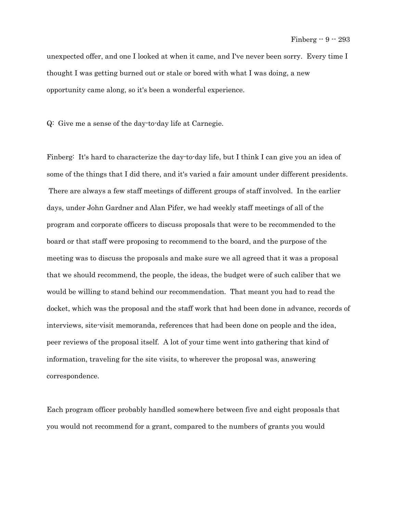unexpected offer, and one I looked at when it came, and I've never been sorry. Every time I thought I was getting burned out or stale or bored with what I was doing, a new opportunity came along, so it's been a wonderful experience.

Q: Give me a sense of the day-to-day life at Carnegie.

Finberg: It's hard to characterize the day-to-day life, but I think I can give you an idea of some of the things that I did there, and it's varied a fair amount under different presidents. There are always a few staff meetings of different groups of staff involved. In the earlier days, under John Gardner and Alan Pifer, we had weekly staff meetings of all of the program and corporate officers to discuss proposals that were to be recommended to the board or that staff were proposing to recommend to the board, and the purpose of the meeting was to discuss the proposals and make sure we all agreed that it was a proposal that we should recommend, the people, the ideas, the budget were of such caliber that we would be willing to stand behind our recommendation. That meant you had to read the docket, which was the proposal and the staff work that had been done in advance, records of interviews, site-visit memoranda, references that had been done on people and the idea, peer reviews of the proposal itself. A lot of your time went into gathering that kind of information, traveling for the site visits, to wherever the proposal was, answering correspondence.

Each program officer probably handled somewhere between five and eight proposals that you would not recommend for a grant, compared to the numbers of grants you would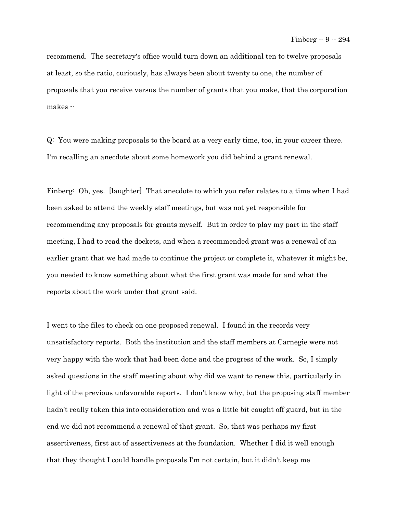recommend. The secretary's office would turn down an additional ten to twelve proposals at least, so the ratio, curiously, has always been about twenty to one, the number of proposals that you receive versus the number of grants that you make, that the corporation makes --

Q: You were making proposals to the board at a very early time, too, in your career there. I'm recalling an anecdote about some homework you did behind a grant renewal.

Finberg: Oh, yes. [laughter] That anecdote to which you refer relates to a time when I had been asked to attend the weekly staff meetings, but was not yet responsible for recommending any proposals for grants myself. But in order to play my part in the staff meeting, I had to read the dockets, and when a recommended grant was a renewal of an earlier grant that we had made to continue the project or complete it, whatever it might be, you needed to know something about what the first grant was made for and what the reports about the work under that grant said.

I went to the files to check on one proposed renewal. I found in the records very unsatisfactory reports. Both the institution and the staff members at Carnegie were not very happy with the work that had been done and the progress of the work. So, I simply asked questions in the staff meeting about why did we want to renew this, particularly in light of the previous unfavorable reports. I don't know why, but the proposing staff member hadn't really taken this into consideration and was a little bit caught off guard, but in the end we did not recommend a renewal of that grant. So, that was perhaps my first assertiveness, first act of assertiveness at the foundation. Whether I did it well enough that they thought I could handle proposals I'm not certain, but it didn't keep me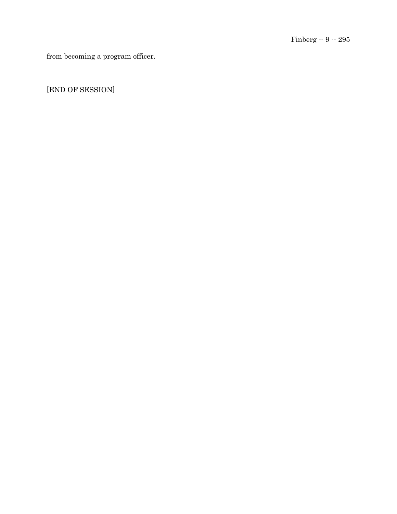from becoming a program officer.

[END OF SESSION]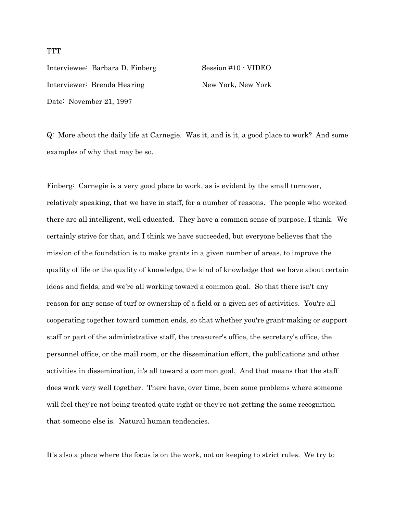Interviewee: Barbara D. Finberg Session #10 - VIDEO Interviewer: Brenda Hearing New York, New York Date: November 21, 1997

Q: More about the daily life at Carnegie. Was it, and is it, a good place to work? And some examples of why that may be so.

Finberg: Carnegie is a very good place to work, as is evident by the small turnover, relatively speaking, that we have in staff, for a number of reasons. The people who worked there are all intelligent, well educated. They have a common sense of purpose, I think. We certainly strive for that, and I think we have succeeded, but everyone believes that the mission of the foundation is to make grants in a given number of areas, to improve the quality of life or the quality of knowledge, the kind of knowledge that we have about certain ideas and fields, and we're all working toward a common goal. So that there isn't any reason for any sense of turf or ownership of a field or a given set of activities. You're all cooperating together toward common ends, so that whether you're grant-making or support staff or part of the administrative staff, the treasurer's office, the secretary's office, the personnel office, or the mail room, or the dissemination effort, the publications and other activities in dissemination, it's all toward a common goal. And that means that the staff does work very well together. There have, over time, been some problems where someone will feel they're not being treated quite right or they're not getting the same recognition that someone else is. Natural human tendencies.

It's also a place where the focus is on the work, not on keeping to strict rules. We try to

## **TTT**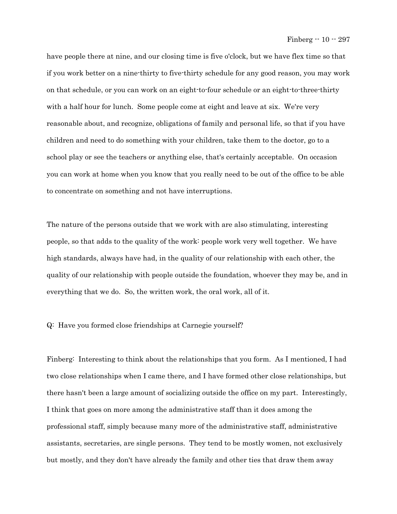have people there at nine, and our closing time is five o'clock, but we have flex time so that if you work better on a nine-thirty to five-thirty schedule for any good reason, you may work on that schedule, or you can work on an eight-to-four schedule or an eight-to-three-thirty with a half hour for lunch. Some people come at eight and leave at six. We're very reasonable about, and recognize, obligations of family and personal life, so that if you have children and need to do something with your children, take them to the doctor, go to a school play or see the teachers or anything else, that's certainly acceptable. On occasion you can work at home when you know that you really need to be out of the office to be able to concentrate on something and not have interruptions.

The nature of the persons outside that we work with are also stimulating, interesting people, so that adds to the quality of the work: people work very well together. We have high standards, always have had, in the quality of our relationship with each other, the quality of our relationship with people outside the foundation, whoever they may be, and in everything that we do. So, the written work, the oral work, all of it.

## Q: Have you formed close friendships at Carnegie yourself?

Finberg: Interesting to think about the relationships that you form. As I mentioned, I had two close relationships when I came there, and I have formed other close relationships, but there hasn't been a large amount of socializing outside the office on my part. Interestingly, I think that goes on more among the administrative staff than it does among the professional staff, simply because many more of the administrative staff, administrative assistants, secretaries, are single persons. They tend to be mostly women, not exclusively but mostly, and they don't have already the family and other ties that draw them away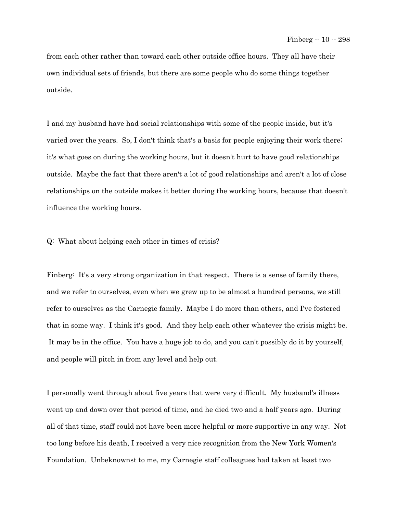from each other rather than toward each other outside office hours. They all have their own individual sets of friends, but there are some people who do some things together outside.

I and my husband have had social relationships with some of the people inside, but it's varied over the years. So, I don't think that's a basis for people enjoying their work there; it's what goes on during the working hours, but it doesn't hurt to have good relationships outside. Maybe the fact that there aren't a lot of good relationships and aren't a lot of close relationships on the outside makes it better during the working hours, because that doesn't influence the working hours.

Q: What about helping each other in times of crisis?

Finberg: It's a very strong organization in that respect. There is a sense of family there, and we refer to ourselves, even when we grew up to be almost a hundred persons, we still refer to ourselves as the Carnegie family. Maybe I do more than others, and I've fostered that in some way. I think it's good. And they help each other whatever the crisis might be. It may be in the office. You have a huge job to do, and you can't possibly do it by yourself, and people will pitch in from any level and help out.

I personally went through about five years that were very difficult. My husband's illness went up and down over that period of time, and he died two and a half years ago. During all of that time, staff could not have been more helpful or more supportive in any way. Not too long before his death, I received a very nice recognition from the New York Women's Foundation. Unbeknownst to me, my Carnegie staff colleagues had taken at least two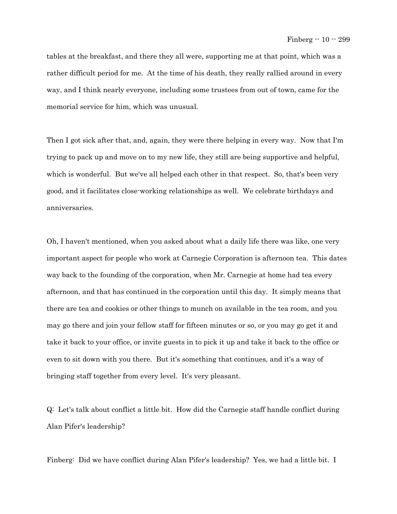tables at the breakfast, and there they all were, supporting me at that point, which was a rather difficult period for me. At the time of his death, they really rallied around in every way, and I think nearly everyone, including some trustees from out of town, came for the memorial service for him, which was unusual.

Then I got sick after that, and, again, they were there helping in every way. Now that I'm trying to pack up and move on to my new life, they still are being supportive and helpful, which is wonderful. But we've all helped each other in that respect. So, that's been very good, and it facilitates close-working relationships as well. We celebrate birthdays and anniversaries.

Oh, I haven't mentioned, when you asked about what a daily life there was like, one very important aspect for people who work at Carnegie Corporation is afternoon tea. This dates way back to the founding of the corporation, when Mr. Carnegie at home had tea every afternoon, and that has continued in the corporation until this day. It simply means that there are tea and cookies or other things to munch on available in the tea room, and you may go there and join your fellow staff for fifteen minutes or so, or you may go get it and take it back to your office, or invite guests in to pick it up and take it back to the office or even to sit down with you there. But it's something that continues, and it's a way of bringing staff together from every level. It's very pleasant.

Q: Let's talk about conflict a little bit. How did the Carnegie staff handle conflict during Alan Pifer's leadership?

Finberg: Did we have conflict during Alan Pifer's leadership? Yes, we had a little bit. I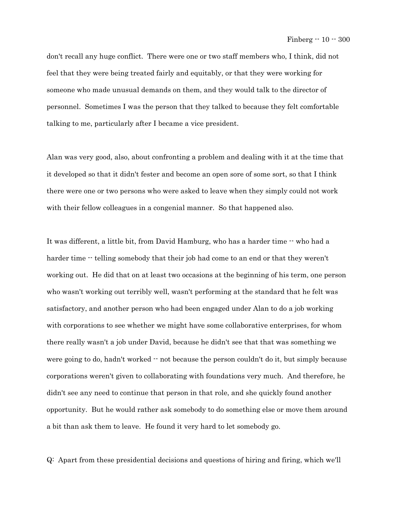don't recall any huge conflict. There were one or two staff members who, I think, did not feel that they were being treated fairly and equitably, or that they were working for someone who made unusual demands on them, and they would talk to the director of personnel. Sometimes I was the person that they talked to because they felt comfortable talking to me, particularly after I became a vice president.

Alan was very good, also, about confronting a problem and dealing with it at the time that it developed so that it didn't fester and become an open sore of some sort, so that I think there were one or two persons who were asked to leave when they simply could not work with their fellow colleagues in a congenial manner. So that happened also.

It was different, a little bit, from David Hamburg, who has a harder time -- who had a harder time  $\cdot$  telling somebody that their job had come to an end or that they weren't working out. He did that on at least two occasions at the beginning of his term, one person who wasn't working out terribly well, wasn't performing at the standard that he felt was satisfactory, and another person who had been engaged under Alan to do a job working with corporations to see whether we might have some collaborative enterprises, for whom there really wasn't a job under David, because he didn't see that that was something we were going to do, hadn't worked  $\cdot \cdot$  not because the person couldn't do it, but simply because corporations weren't given to collaborating with foundations very much. And therefore, he didn't see any need to continue that person in that role, and she quickly found another opportunity. But he would rather ask somebody to do something else or move them around a bit than ask them to leave. He found it very hard to let somebody go.

Q: Apart from these presidential decisions and questions of hiring and firing, which we'll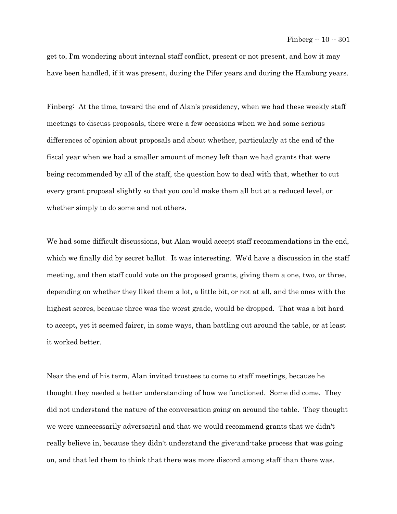get to, I'm wondering about internal staff conflict, present or not present, and how it may have been handled, if it was present, during the Pifer years and during the Hamburg years.

Finberg: At the time, toward the end of Alan's presidency, when we had these weekly staff meetings to discuss proposals, there were a few occasions when we had some serious differences of opinion about proposals and about whether, particularly at the end of the fiscal year when we had a smaller amount of money left than we had grants that were being recommended by all of the staff, the question how to deal with that, whether to cut every grant proposal slightly so that you could make them all but at a reduced level, or whether simply to do some and not others.

We had some difficult discussions, but Alan would accept staff recommendations in the end, which we finally did by secret ballot. It was interesting. We'd have a discussion in the staff meeting, and then staff could vote on the proposed grants, giving them a one, two, or three, depending on whether they liked them a lot, a little bit, or not at all, and the ones with the highest scores, because three was the worst grade, would be dropped. That was a bit hard to accept, yet it seemed fairer, in some ways, than battling out around the table, or at least it worked better.

Near the end of his term, Alan invited trustees to come to staff meetings, because he thought they needed a better understanding of how we functioned. Some did come. They did not understand the nature of the conversation going on around the table. They thought we were unnecessarily adversarial and that we would recommend grants that we didn't really believe in, because they didn't understand the give-and-take process that was going on, and that led them to think that there was more discord among staff than there was.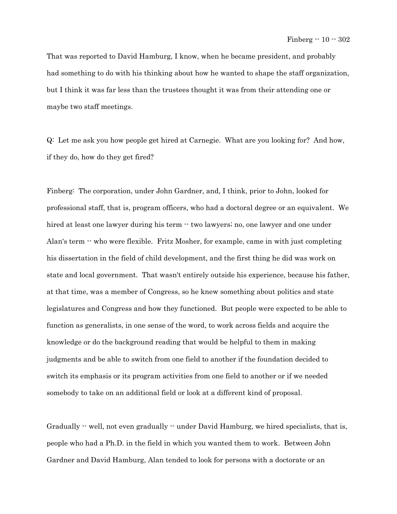That was reported to David Hamburg, I know, when he became president, and probably had something to do with his thinking about how he wanted to shape the staff organization, but I think it was far less than the trustees thought it was from their attending one or maybe two staff meetings.

Q: Let me ask you how people get hired at Carnegie. What are you looking for? And how, if they do, how do they get fired?

Finberg: The corporation, under John Gardner, and, I think, prior to John, looked for professional staff, that is, program officers, who had a doctoral degree or an equivalent. We hired at least one lawyer during his term  $\cdot$  two lawyers; no, one lawyer and one under Alan's term  $\cdot$  who were flexible. Fritz Mosher, for example, came in with just completing his dissertation in the field of child development, and the first thing he did was work on state and local government. That wasn't entirely outside his experience, because his father, at that time, was a member of Congress, so he knew something about politics and state legislatures and Congress and how they functioned. But people were expected to be able to function as generalists, in one sense of the word, to work across fields and acquire the knowledge or do the background reading that would be helpful to them in making judgments and be able to switch from one field to another if the foundation decided to switch its emphasis or its program activities from one field to another or if we needed somebody to take on an additional field or look at a different kind of proposal.

Gradually  $\cdot$  well, not even gradually  $\cdot$  under David Hamburg, we hired specialists, that is, people who had a Ph.D. in the field in which you wanted them to work. Between John Gardner and David Hamburg, Alan tended to look for persons with a doctorate or an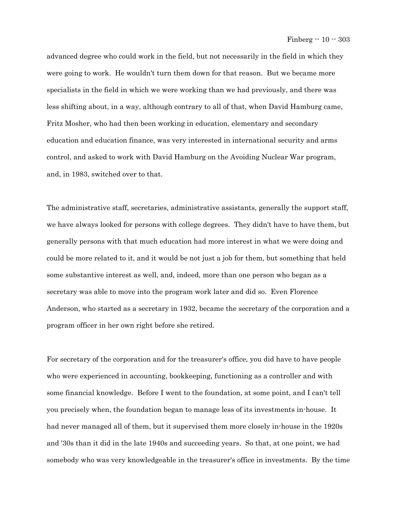advanced degree who could work in the field, but not necessarily in the field in which they were going to work. He wouldn't turn them down for that reason. But we became more specialists in the field in which we were working than we had previously, and there was less shifting about, in a way, although contrary to all of that, when David Hamburg came, Fritz Mosher, who had then been working in education, elementary and secondary education and education finance, was very interested in international security and arms control, and asked to work with David Hamburg on the Avoiding Nuclear War program, and, in 1983, switched over to that.

The administrative staff, secretaries, administrative assistants, generally the support staff, we have always looked for persons with college degrees. They didn't have to have them, but generally persons with that much education had more interest in what we were doing and could be more related to it, and it would be not just a job for them, but something that held some substantive interest as well, and, indeed, more than one person who began as a secretary was able to move into the program work later and did so. Even Florence Anderson, who started as a secretary in 1932, became the secretary of the corporation and a program officer in her own right before she retired.

For secretary of the corporation and for the treasurer's office, you did have to have people who were experienced in accounting, bookkeeping, functioning as a controller and with some financial knowledge. Before I went to the foundation, at some point, and I can't tell you precisely when, the foundation began to manage less of its investments in-house. It had never managed all of them, but it supervised them more closely in-house in the 1920s and '30s than it did in the late 1940s and succeeding years. So that, at one point, we had somebody who was very knowledgeable in the treasurer's office in investments. By the time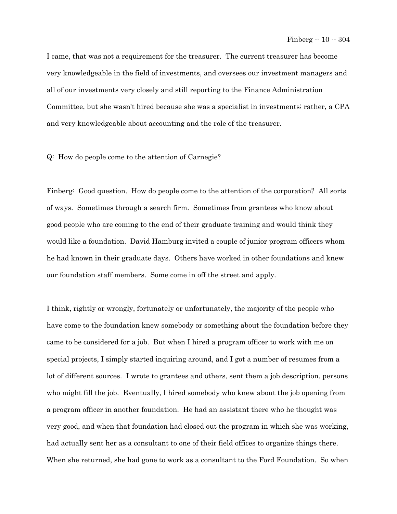I came, that was not a requirement for the treasurer. The current treasurer has become very knowledgeable in the field of investments, and oversees our investment managers and all of our investments very closely and still reporting to the Finance Administration Committee, but she wasn't hired because she was a specialist in investments; rather, a CPA and very knowledgeable about accounting and the role of the treasurer.

## Q: How do people come to the attention of Carnegie?

Finberg: Good question. How do people come to the attention of the corporation? All sorts of ways. Sometimes through a search firm. Sometimes from grantees who know about good people who are coming to the end of their graduate training and would think they would like a foundation. David Hamburg invited a couple of junior program officers whom he had known in their graduate days. Others have worked in other foundations and knew our foundation staff members. Some come in off the street and apply.

I think, rightly or wrongly, fortunately or unfortunately, the majority of the people who have come to the foundation knew somebody or something about the foundation before they came to be considered for a job. But when I hired a program officer to work with me on special projects, I simply started inquiring around, and I got a number of resumes from a lot of different sources. I wrote to grantees and others, sent them a job description, persons who might fill the job. Eventually, I hired somebody who knew about the job opening from a program officer in another foundation. He had an assistant there who he thought was very good, and when that foundation had closed out the program in which she was working, had actually sent her as a consultant to one of their field offices to organize things there. When she returned, she had gone to work as a consultant to the Ford Foundation. So when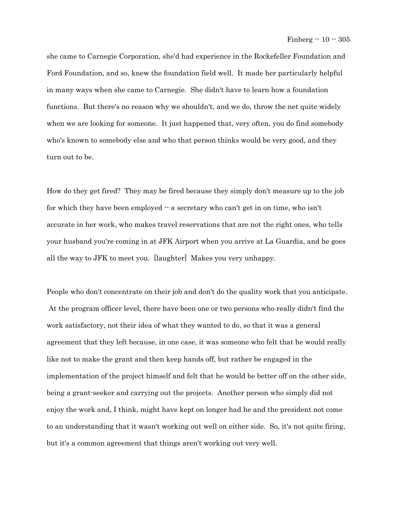she came to Carnegie Corporation, she'd had experience in the Rockefeller Foundation and Ford Foundation, and so, knew the foundation field well. It made her particularly helpful in many ways when she came to Carnegie. She didn't have to learn how a foundation functions. But there's no reason why we shouldn't, and we do, throw the net quite widely when we are looking for someone. It just happened that, very often, you do find somebody who's known to somebody else and who that person thinks would be very good, and they turn out to be.

How do they get fired? They may be fired because they simply don't measure up to the job for which they have been employed  $-$  a secretary who can't get in on time, who isn't accurate in her work, who makes travel reservations that are not the right ones, who tells your husband you're coming in at JFK Airport when you arrive at La Guardia, and he goes all the way to JFK to meet you. [laughter] Makes you very unhappy.

People who don't concentrate on their job and don't do the quality work that you anticipate. At the program officer level, there have been one or two persons who really didn't find the work satisfactory, not their idea of what they wanted to do, so that it was a general agreement that they left because, in one case, it was someone who felt that he would really like not to make the grant and then keep hands off, but rather be engaged in the implementation of the project himself and felt that he would be better off on the other side, being a grant-seeker and carrying out the projects. Another person who simply did not enjoy the work and, I think, might have kept on longer had he and the president not come to an understanding that it wasn't working out well on either side. So, it's not quite firing, but it's a common agreement that things aren't working out very well.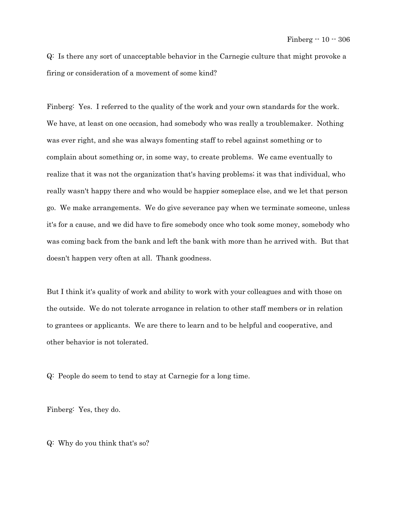Q: Is there any sort of unacceptable behavior in the Carnegie culture that might provoke a firing or consideration of a movement of some kind?

Finberg: Yes. I referred to the quality of the work and your own standards for the work. We have, at least on one occasion, had somebody who was really a troublemaker. Nothing was ever right, and she was always fomenting staff to rebel against something or to complain about something or, in some way, to create problems. We came eventually to realize that it was not the organization that's having problems; it was that individual, who really wasn't happy there and who would be happier someplace else, and we let that person go. We make arrangements. We do give severance pay when we terminate someone, unless it's for a cause, and we did have to fire somebody once who took some money, somebody who was coming back from the bank and left the bank with more than he arrived with. But that doesn't happen very often at all. Thank goodness.

But I think it's quality of work and ability to work with your colleagues and with those on the outside. We do not tolerate arrogance in relation to other staff members or in relation to grantees or applicants. We are there to learn and to be helpful and cooperative, and other behavior is not tolerated.

Q: People do seem to tend to stay at Carnegie for a long time.

Finberg: Yes, they do.

Q: Why do you think that's so?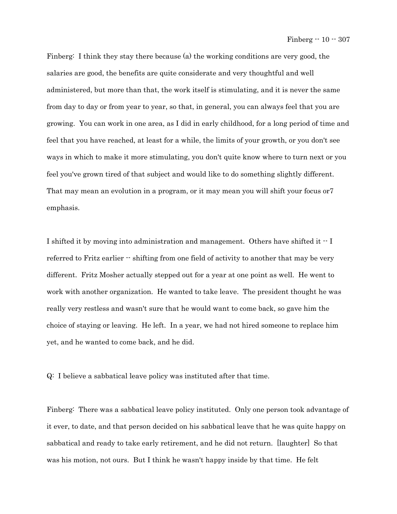Finberg: I think they stay there because (a) the working conditions are very good, the salaries are good, the benefits are quite considerate and very thoughtful and well administered, but more than that, the work itself is stimulating, and it is never the same from day to day or from year to year, so that, in general, you can always feel that you are growing. You can work in one area, as I did in early childhood, for a long period of time and feel that you have reached, at least for a while, the limits of your growth, or you don't see ways in which to make it more stimulating, you don't quite know where to turn next or you feel you've grown tired of that subject and would like to do something slightly different. That may mean an evolution in a program, or it may mean you will shift your focus or7 emphasis.

I shifted it by moving into administration and management. Others have shifted it  $\cdot$ -I referred to Fritz earlier -- shifting from one field of activity to another that may be very different. Fritz Mosher actually stepped out for a year at one point as well. He went to work with another organization. He wanted to take leave. The president thought he was really very restless and wasn't sure that he would want to come back, so gave him the choice of staying or leaving. He left. In a year, we had not hired someone to replace him yet, and he wanted to come back, and he did.

Q: I believe a sabbatical leave policy was instituted after that time.

Finberg: There was a sabbatical leave policy instituted. Only one person took advantage of it ever, to date, and that person decided on his sabbatical leave that he was quite happy on sabbatical and ready to take early retirement, and he did not return. [laughter] So that was his motion, not ours. But I think he wasn't happy inside by that time. He felt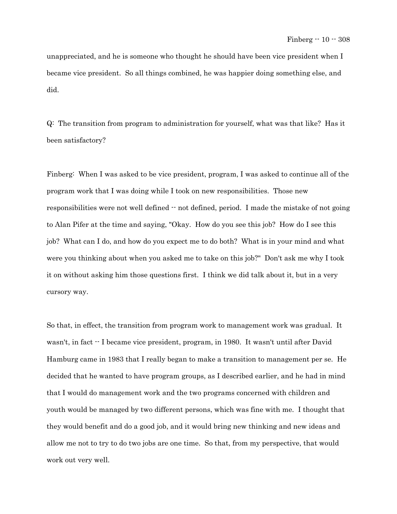unappreciated, and he is someone who thought he should have been vice president when I became vice president. So all things combined, he was happier doing something else, and did.

Q: The transition from program to administration for yourself, what was that like? Has it been satisfactory?

Finberg: When I was asked to be vice president, program, I was asked to continue all of the program work that I was doing while I took on new responsibilities. Those new responsibilities were not well defined  $\cdot$  not defined, period. I made the mistake of not going to Alan Pifer at the time and saying, "Okay. How do you see this job? How do I see this job? What can I do, and how do you expect me to do both? What is in your mind and what were you thinking about when you asked me to take on this job?" Don't ask me why I took it on without asking him those questions first. I think we did talk about it, but in a very cursory way.

So that, in effect, the transition from program work to management work was gradual. It wasn't, in fact -- I became vice president, program, in 1980. It wasn't until after David Hamburg came in 1983 that I really began to make a transition to management per se. He decided that he wanted to have program groups, as I described earlier, and he had in mind that I would do management work and the two programs concerned with children and youth would be managed by two different persons, which was fine with me. I thought that they would benefit and do a good job, and it would bring new thinking and new ideas and allow me not to try to do two jobs are one time. So that, from my perspective, that would work out very well.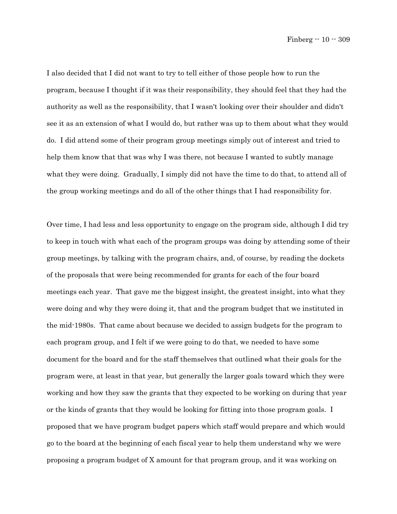I also decided that I did not want to try to tell either of those people how to run the program, because I thought if it was their responsibility, they should feel that they had the authority as well as the responsibility, that I wasn't looking over their shoulder and didn't see it as an extension of what I would do, but rather was up to them about what they would do. I did attend some of their program group meetings simply out of interest and tried to help them know that that was why I was there, not because I wanted to subtly manage what they were doing. Gradually, I simply did not have the time to do that, to attend all of the group working meetings and do all of the other things that I had responsibility for.

Over time, I had less and less opportunity to engage on the program side, although I did try to keep in touch with what each of the program groups was doing by attending some of their group meetings, by talking with the program chairs, and, of course, by reading the dockets of the proposals that were being recommended for grants for each of the four board meetings each year. That gave me the biggest insight, the greatest insight, into what they were doing and why they were doing it, that and the program budget that we instituted in the mid-1980s. That came about because we decided to assign budgets for the program to each program group, and I felt if we were going to do that, we needed to have some document for the board and for the staff themselves that outlined what their goals for the program were, at least in that year, but generally the larger goals toward which they were working and how they saw the grants that they expected to be working on during that year or the kinds of grants that they would be looking for fitting into those program goals. I proposed that we have program budget papers which staff would prepare and which would go to the board at the beginning of each fiscal year to help them understand why we were proposing a program budget of X amount for that program group, and it was working on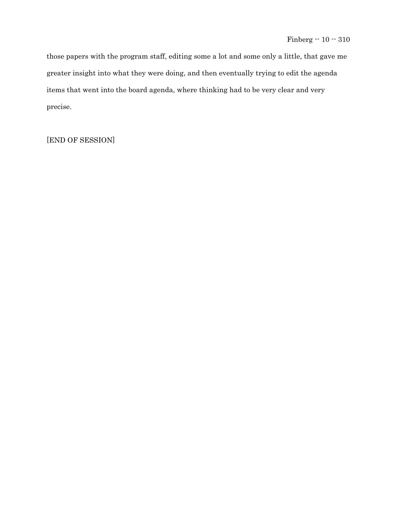those papers with the program staff, editing some a lot and some only a little, that gave me greater insight into what they were doing, and then eventually trying to edit the agenda items that went into the board agenda, where thinking had to be very clear and very precise.

[END OF SESSION]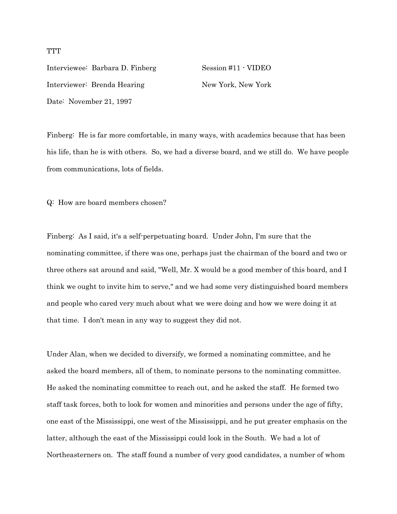Interviewee: Barbara D. Finberg Session #11 - VIDEO Interviewer: Brenda Hearing New York, New York Date: November 21, 1997

Finberg: He is far more comfortable, in many ways, with academics because that has been his life, than he is with others. So, we had a diverse board, and we still do. We have people from communications, lots of fields.

Q: How are board members chosen?

Finberg: As I said, it's a self-perpetuating board. Under John, I'm sure that the nominating committee, if there was one, perhaps just the chairman of the board and two or three others sat around and said, "Well, Mr. X would be a good member of this board, and I think we ought to invite him to serve," and we had some very distinguished board members and people who cared very much about what we were doing and how we were doing it at that time. I don't mean in any way to suggest they did not.

Under Alan, when we decided to diversify, we formed a nominating committee, and he asked the board members, all of them, to nominate persons to the nominating committee. He asked the nominating committee to reach out, and he asked the staff. He formed two staff task forces, both to look for women and minorities and persons under the age of fifty, one east of the Mississippi, one west of the Mississippi, and he put greater emphasis on the latter, although the east of the Mississippi could look in the South. We had a lot of Northeasterners on. The staff found a number of very good candidates, a number of whom

**TTT**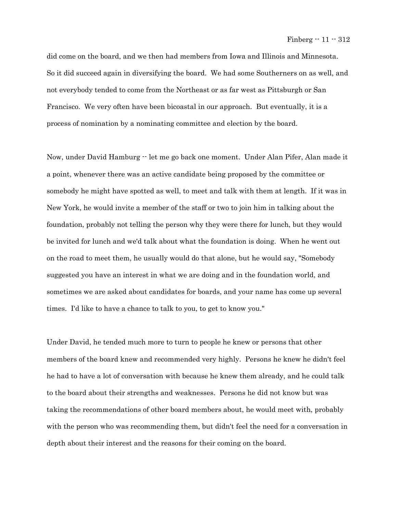did come on the board, and we then had members from Iowa and Illinois and Minnesota. So it did succeed again in diversifying the board. We had some Southerners on as well, and not everybody tended to come from the Northeast or as far west as Pittsburgh or San Francisco. We very often have been bicoastal in our approach. But eventually, it is a process of nomination by a nominating committee and election by the board.

Now, under David Hamburg -- let me go back one moment. Under Alan Pifer, Alan made it a point, whenever there was an active candidate being proposed by the committee or somebody he might have spotted as well, to meet and talk with them at length. If it was in New York, he would invite a member of the staff or two to join him in talking about the foundation, probably not telling the person why they were there for lunch, but they would be invited for lunch and we'd talk about what the foundation is doing. When he went out on the road to meet them, he usually would do that alone, but he would say, "Somebody suggested you have an interest in what we are doing and in the foundation world, and sometimes we are asked about candidates for boards, and your name has come up several times. I'd like to have a chance to talk to you, to get to know you."

Under David, he tended much more to turn to people he knew or persons that other members of the board knew and recommended very highly. Persons he knew he didn't feel he had to have a lot of conversation with because he knew them already, and he could talk to the board about their strengths and weaknesses. Persons he did not know but was taking the recommendations of other board members about, he would meet with, probably with the person who was recommending them, but didn't feel the need for a conversation in depth about their interest and the reasons for their coming on the board.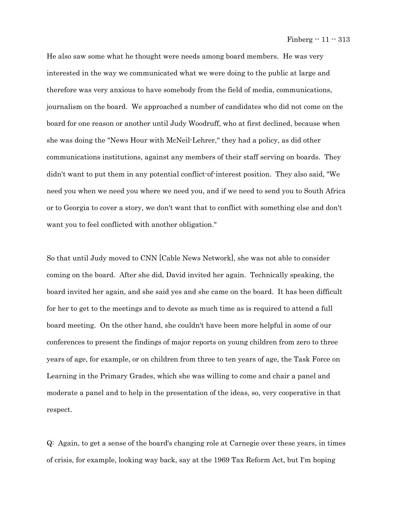He also saw some what he thought were needs among board members. He was very interested in the way we communicated what we were doing to the public at large and therefore was very anxious to have somebody from the field of media, communications, journalism on the board. We approached a number of candidates who did not come on the board for one reason or another until Judy Woodruff, who at first declined, because when she was doing the "News Hour with McNeil-Lehrer," they had a policy, as did other communications institutions, against any members of their staff serving on boards. They didn't want to put them in any potential conflict-of-interest position. They also said, "We need you when we need you where we need you, and if we need to send you to South Africa or to Georgia to cover a story, we don't want that to conflict with something else and don't want you to feel conflicted with another obligation."

So that until Judy moved to CNN [Cable News Network], she was not able to consider coming on the board. After she did, David invited her again. Technically speaking, the board invited her again, and she said yes and she came on the board. It has been difficult for her to get to the meetings and to devote as much time as is required to attend a full board meeting. On the other hand, she couldn't have been more helpful in some of our conferences to present the findings of major reports on young children from zero to three years of age, for example, or on children from three to ten years of age, the Task Force on Learning in the Primary Grades, which she was willing to come and chair a panel and moderate a panel and to help in the presentation of the ideas, so, very cooperative in that respect.

Q: Again, to get a sense of the board's changing role at Carnegie over these years, in times of crisis, for example, looking way back, say at the 1969 Tax Reform Act, but I'm hoping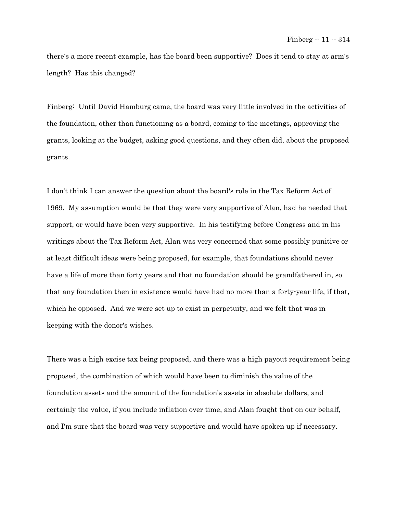there's a more recent example, has the board been supportive? Does it tend to stay at arm's length? Has this changed?

Finberg: Until David Hamburg came, the board was very little involved in the activities of the foundation, other than functioning as a board, coming to the meetings, approving the grants, looking at the budget, asking good questions, and they often did, about the proposed grants.

I don't think I can answer the question about the board's role in the Tax Reform Act of 1969. My assumption would be that they were very supportive of Alan, had he needed that support, or would have been very supportive. In his testifying before Congress and in his writings about the Tax Reform Act, Alan was very concerned that some possibly punitive or at least difficult ideas were being proposed, for example, that foundations should never have a life of more than forty years and that no foundation should be grandfathered in, so that any foundation then in existence would have had no more than a forty-year life, if that, which he opposed. And we were set up to exist in perpetuity, and we felt that was in keeping with the donor's wishes.

There was a high excise tax being proposed, and there was a high payout requirement being proposed, the combination of which would have been to diminish the value of the foundation assets and the amount of the foundation's assets in absolute dollars, and certainly the value, if you include inflation over time, and Alan fought that on our behalf, and I'm sure that the board was very supportive and would have spoken up if necessary.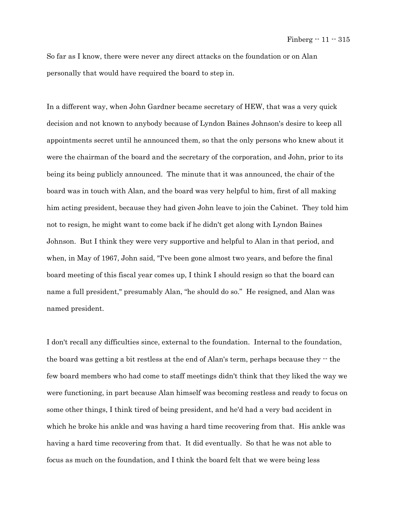So far as I know, there were never any direct attacks on the foundation or on Alan personally that would have required the board to step in.

In a different way, when John Gardner became secretary of HEW, that was a very quick decision and not known to anybody because of Lyndon Baines Johnson's desire to keep all appointments secret until he announced them, so that the only persons who knew about it were the chairman of the board and the secretary of the corporation, and John, prior to its being its being publicly announced. The minute that it was announced, the chair of the board was in touch with Alan, and the board was very helpful to him, first of all making him acting president, because they had given John leave to join the Cabinet. They told him not to resign, he might want to come back if he didn't get along with Lyndon Baines Johnson. But I think they were very supportive and helpful to Alan in that period, and when, in May of 1967, John said, "I've been gone almost two years, and before the final board meeting of this fiscal year comes up, I think I should resign so that the board can name a full president," presumably Alan, "he should do so." He resigned, and Alan was named president.

I don't recall any difficulties since, external to the foundation. Internal to the foundation, the board was getting a bit restless at the end of Alan's term, perhaps because they  $\cdot$  the few board members who had come to staff meetings didn't think that they liked the way we were functioning, in part because Alan himself was becoming restless and ready to focus on some other things, I think tired of being president, and he'd had a very bad accident in which he broke his ankle and was having a hard time recovering from that. His ankle was having a hard time recovering from that. It did eventually. So that he was not able to focus as much on the foundation, and I think the board felt that we were being less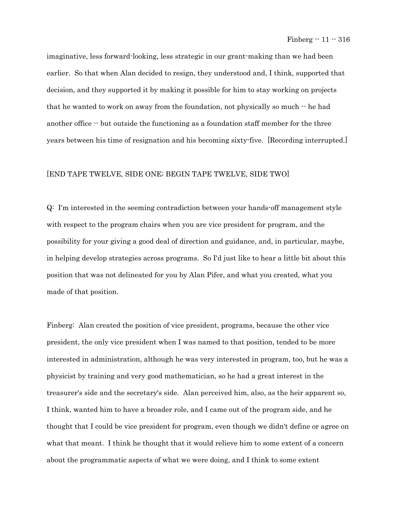imaginative, less forward-looking, less strategic in our grant-making than we had been earlier. So that when Alan decided to resign, they understood and, I think, supported that decision, and they supported it by making it possible for him to stay working on projects that he wanted to work on away from the foundation, not physically so much -- he had another office -- but outside the functioning as a foundation staff member for the three years between his time of resignation and his becoming sixty-five. [Recording interrupted.]

## [END TAPE TWELVE, SIDE ONE; BEGIN TAPE TWELVE, SIDE TWO]

Q: I'm interested in the seeming contradiction between your hands-off management style with respect to the program chairs when you are vice president for program, and the possibility for your giving a good deal of direction and guidance, and, in particular, maybe, in helping develop strategies across programs. So I'd just like to hear a little bit about this position that was not delineated for you by Alan Pifer, and what you created, what you made of that position.

Finberg: Alan created the position of vice president, programs, because the other vice president, the only vice president when I was named to that position, tended to be more interested in administration, although he was very interested in program, too, but he was a physicist by training and very good mathematician, so he had a great interest in the treasurer's side and the secretary's side. Alan perceived him, also, as the heir apparent so, I think, wanted him to have a broader role, and I came out of the program side, and he thought that I could be vice president for program, even though we didn't define or agree on what that meant. I think he thought that it would relieve him to some extent of a concern about the programmatic aspects of what we were doing, and I think to some extent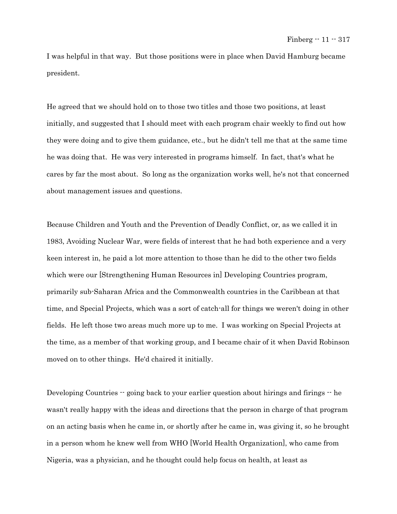I was helpful in that way. But those positions were in place when David Hamburg became president.

He agreed that we should hold on to those two titles and those two positions, at least initially, and suggested that I should meet with each program chair weekly to find out how they were doing and to give them guidance, etc., but he didn't tell me that at the same time he was doing that. He was very interested in programs himself. In fact, that's what he cares by far the most about. So long as the organization works well, he's not that concerned about management issues and questions.

Because Children and Youth and the Prevention of Deadly Conflict, or, as we called it in 1983, Avoiding Nuclear War, were fields of interest that he had both experience and a very keen interest in, he paid a lot more attention to those than he did to the other two fields which were our [Strengthening Human Resources in] Developing Countries program, primarily sub-Saharan Africa and the Commonwealth countries in the Caribbean at that time, and Special Projects, which was a sort of catch-all for things we weren't doing in other fields. He left those two areas much more up to me. I was working on Special Projects at the time, as a member of that working group, and I became chair of it when David Robinson moved on to other things. He'd chaired it initially.

Developing Countries -- going back to your earlier question about hirings and firings -- he wasn't really happy with the ideas and directions that the person in charge of that program on an acting basis when he came in, or shortly after he came in, was giving it, so he brought in a person whom he knew well from WHO [World Health Organization], who came from Nigeria, was a physician, and he thought could help focus on health, at least as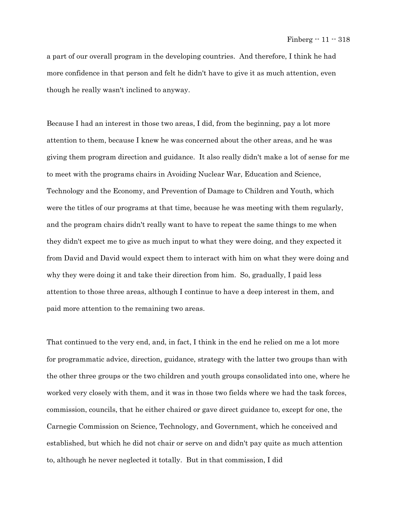a part of our overall program in the developing countries. And therefore, I think he had more confidence in that person and felt he didn't have to give it as much attention, even though he really wasn't inclined to anyway.

Because I had an interest in those two areas, I did, from the beginning, pay a lot more attention to them, because I knew he was concerned about the other areas, and he was giving them program direction and guidance. It also really didn't make a lot of sense for me to meet with the programs chairs in Avoiding Nuclear War, Education and Science, Technology and the Economy, and Prevention of Damage to Children and Youth, which were the titles of our programs at that time, because he was meeting with them regularly, and the program chairs didn't really want to have to repeat the same things to me when they didn't expect me to give as much input to what they were doing, and they expected it from David and David would expect them to interact with him on what they were doing and why they were doing it and take their direction from him. So, gradually, I paid less attention to those three areas, although I continue to have a deep interest in them, and paid more attention to the remaining two areas.

That continued to the very end, and, in fact, I think in the end he relied on me a lot more for programmatic advice, direction, guidance, strategy with the latter two groups than with the other three groups or the two children and youth groups consolidated into one, where he worked very closely with them, and it was in those two fields where we had the task forces, commission, councils, that he either chaired or gave direct guidance to, except for one, the Carnegie Commission on Science, Technology, and Government, which he conceived and established, but which he did not chair or serve on and didn't pay quite as much attention to, although he never neglected it totally. But in that commission, I did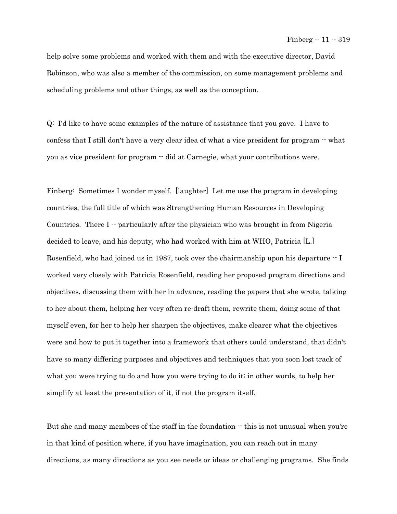help solve some problems and worked with them and with the executive director, David Robinson, who was also a member of the commission, on some management problems and scheduling problems and other things, as well as the conception.

Q: I'd like to have some examples of the nature of assistance that you gave. I have to confess that I still don't have a very clear idea of what a vice president for program  $\cdot$  what you as vice president for program -- did at Carnegie, what your contributions were.

Finberg: Sometimes I wonder myself. [laughter] Let me use the program in developing countries, the full title of which was Strengthening Human Resources in Developing Countries. There  $I -$  particularly after the physician who was brought in from Nigeria decided to leave, and his deputy, who had worked with him at WHO, Patricia [L.] Rosenfield, who had joined us in 1987, took over the chairmanship upon his departure  $\cdot$  I worked very closely with Patricia Rosenfield, reading her proposed program directions and objectives, discussing them with her in advance, reading the papers that she wrote, talking to her about them, helping her very often re-draft them, rewrite them, doing some of that myself even, for her to help her sharpen the objectives, make clearer what the objectives were and how to put it together into a framework that others could understand, that didn't have so many differing purposes and objectives and techniques that you soon lost track of what you were trying to do and how you were trying to do it; in other words, to help her simplify at least the presentation of it, if not the program itself.

But she and many members of the staff in the foundation  $\cdot$  this is not unusual when you're in that kind of position where, if you have imagination, you can reach out in many directions, as many directions as you see needs or ideas or challenging programs. She finds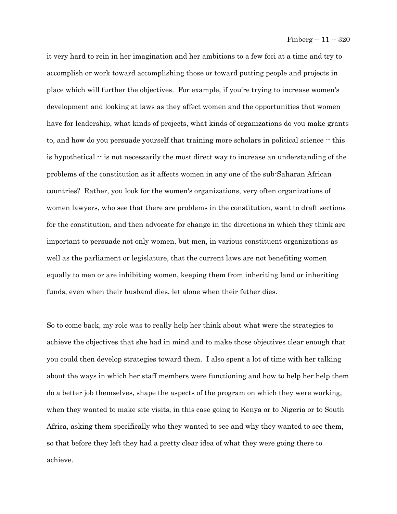it very hard to rein in her imagination and her ambitions to a few foci at a time and try to accomplish or work toward accomplishing those or toward putting people and projects in place which will further the objectives. For example, if you're trying to increase women's development and looking at laws as they affect women and the opportunities that women have for leadership, what kinds of projects, what kinds of organizations do you make grants to, and how do you persuade yourself that training more scholars in political science -- this is hypothetical  $\cdot$  is not necessarily the most direct way to increase an understanding of the problems of the constitution as it affects women in any one of the sub-Saharan African countries? Rather, you look for the women's organizations, very often organizations of women lawyers, who see that there are problems in the constitution, want to draft sections for the constitution, and then advocate for change in the directions in which they think are important to persuade not only women, but men, in various constituent organizations as well as the parliament or legislature, that the current laws are not benefiting women equally to men or are inhibiting women, keeping them from inheriting land or inheriting funds, even when their husband dies, let alone when their father dies.

So to come back, my role was to really help her think about what were the strategies to achieve the objectives that she had in mind and to make those objectives clear enough that you could then develop strategies toward them. I also spent a lot of time with her talking about the ways in which her staff members were functioning and how to help her help them do a better job themselves, shape the aspects of the program on which they were working, when they wanted to make site visits, in this case going to Kenya or to Nigeria or to South Africa, asking them specifically who they wanted to see and why they wanted to see them, so that before they left they had a pretty clear idea of what they were going there to achieve.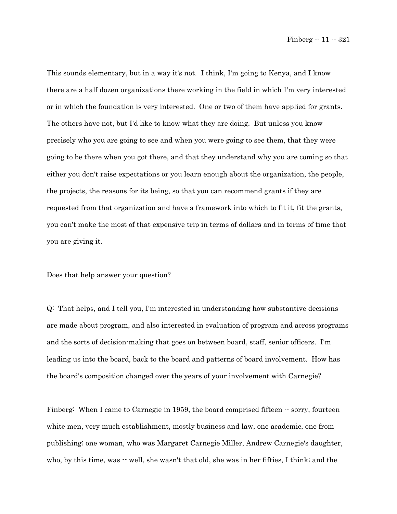This sounds elementary, but in a way it's not. I think, I'm going to Kenya, and I know there are a half dozen organizations there working in the field in which I'm very interested or in which the foundation is very interested. One or two of them have applied for grants. The others have not, but I'd like to know what they are doing. But unless you know precisely who you are going to see and when you were going to see them, that they were going to be there when you got there, and that they understand why you are coming so that either you don't raise expectations or you learn enough about the organization, the people, the projects, the reasons for its being, so that you can recommend grants if they are requested from that organization and have a framework into which to fit it, fit the grants, you can't make the most of that expensive trip in terms of dollars and in terms of time that you are giving it.

Does that help answer your question?

Q: That helps, and I tell you, I'm interested in understanding how substantive decisions are made about program, and also interested in evaluation of program and across programs and the sorts of decision-making that goes on between board, staff, senior officers. I'm leading us into the board, back to the board and patterns of board involvement. How has the board's composition changed over the years of your involvement with Carnegie?

Finberg: When I came to Carnegie in 1959, the board comprised fifteen  $\cdot$  sorry, fourteen white men, very much establishment, mostly business and law, one academic, one from publishing; one woman, who was Margaret Carnegie Miller, Andrew Carnegie's daughter, who, by this time, was  $-$  well, she wasn't that old, she was in her fifties, I think; and the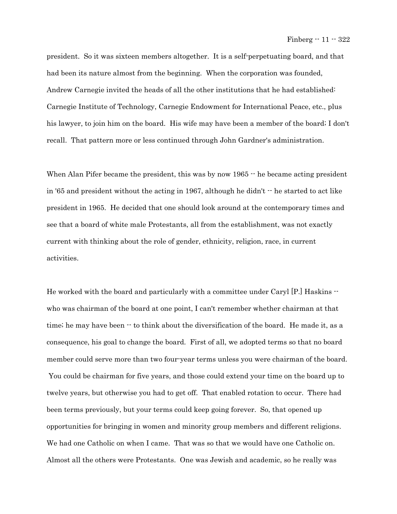president. So it was sixteen members altogether. It is a self-perpetuating board, and that had been its nature almost from the beginning. When the corporation was founded, Andrew Carnegie invited the heads of all the other institutions that he had established: Carnegie Institute of Technology, Carnegie Endowment for International Peace, etc., plus his lawyer, to join him on the board. His wife may have been a member of the board; I don't recall. That pattern more or less continued through John Gardner's administration.

When Alan Pifer became the president, this was by now 1965  $\cdot$  he became acting president in '65 and president without the acting in 1967, although he didn't  $\cdot$  he started to act like president in 1965. He decided that one should look around at the contemporary times and see that a board of white male Protestants, all from the establishment, was not exactly current with thinking about the role of gender, ethnicity, religion, race, in current activities.

He worked with the board and particularly with a committee under Caryl [P.] Haskins  $\cdot$ who was chairman of the board at one point, I can't remember whether chairman at that time; he may have been -- to think about the diversification of the board. He made it, as a consequence, his goal to change the board. First of all, we adopted terms so that no board member could serve more than two four-year terms unless you were chairman of the board. You could be chairman for five years, and those could extend your time on the board up to twelve years, but otherwise you had to get off. That enabled rotation to occur. There had been terms previously, but your terms could keep going forever. So, that opened up opportunities for bringing in women and minority group members and different religions. We had one Catholic on when I came. That was so that we would have one Catholic on. Almost all the others were Protestants. One was Jewish and academic, so he really was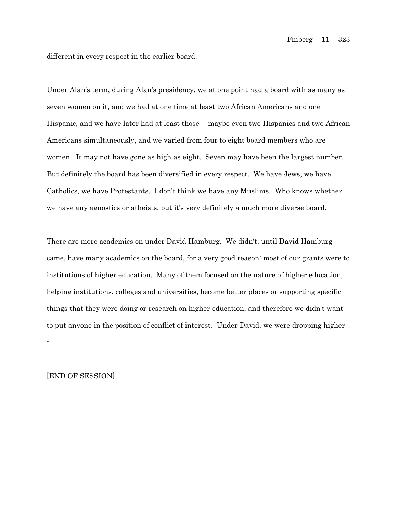different in every respect in the earlier board.

Under Alan's term, during Alan's presidency, we at one point had a board with as many as seven women on it, and we had at one time at least two African Americans and one Hispanic, and we have later had at least those  $-$  maybe even two Hispanics and two African Americans simultaneously, and we varied from four to eight board members who are women. It may not have gone as high as eight. Seven may have been the largest number. But definitely the board has been diversified in every respect. We have Jews, we have Catholics, we have Protestants. I don't think we have any Muslims. Who knows whether we have any agnostics or atheists, but it's very definitely a much more diverse board.

There are more academics on under David Hamburg. We didn't, until David Hamburg came, have many academics on the board, for a very good reason: most of our grants were to institutions of higher education. Many of them focused on the nature of higher education, helping institutions, colleges and universities, become better places or supporting specific things that they were doing or research on higher education, and therefore we didn't want to put anyone in the position of conflict of interest. Under David, we were dropping higher - -

[END OF SESSION]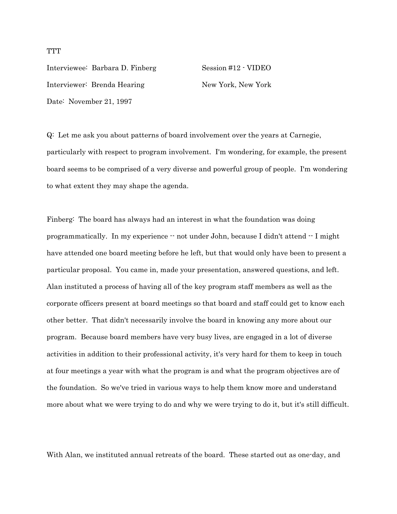Interviewee: Barbara D. Finberg Session #12 - VIDEO Interviewer: Brenda Hearing New York, New York Date: November 21, 1997

Q: Let me ask you about patterns of board involvement over the years at Carnegie, particularly with respect to program involvement. I'm wondering, for example, the present board seems to be comprised of a very diverse and powerful group of people. I'm wondering to what extent they may shape the agenda.

Finberg: The board has always had an interest in what the foundation was doing programmatically. In my experience -- not under John, because I didn't attend -- I might have attended one board meeting before he left, but that would only have been to present a particular proposal. You came in, made your presentation, answered questions, and left. Alan instituted a process of having all of the key program staff members as well as the corporate officers present at board meetings so that board and staff could get to know each other better. That didn't necessarily involve the board in knowing any more about our program. Because board members have very busy lives, are engaged in a lot of diverse activities in addition to their professional activity, it's very hard for them to keep in touch at four meetings a year with what the program is and what the program objectives are of the foundation. So we've tried in various ways to help them know more and understand more about what we were trying to do and why we were trying to do it, but it's still difficult.

With Alan, we instituted annual retreats of the board. These started out as one-day, and

**TTT**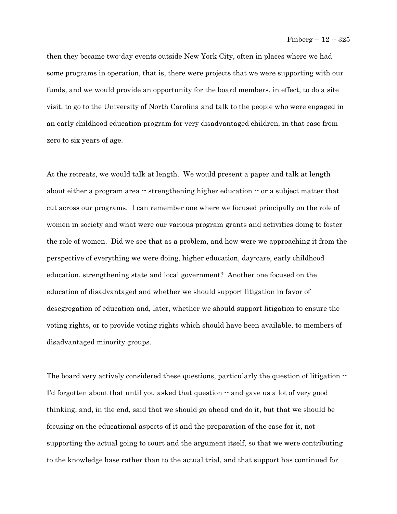then they became two-day events outside New York City, often in places where we had some programs in operation, that is, there were projects that we were supporting with our funds, and we would provide an opportunity for the board members, in effect, to do a site visit, to go to the University of North Carolina and talk to the people who were engaged in an early childhood education program for very disadvantaged children, in that case from zero to six years of age.

At the retreats, we would talk at length. We would present a paper and talk at length about either a program area  $\cdot$  strengthening higher education  $\cdot$  or a subject matter that cut across our programs. I can remember one where we focused principally on the role of women in society and what were our various program grants and activities doing to foster the role of women. Did we see that as a problem, and how were we approaching it from the perspective of everything we were doing, higher education, day-care, early childhood education, strengthening state and local government? Another one focused on the education of disadvantaged and whether we should support litigation in favor of desegregation of education and, later, whether we should support litigation to ensure the voting rights, or to provide voting rights which should have been available, to members of disadvantaged minority groups.

The board very actively considered these questions, particularly the question of litigation  $-$ I'd forgotten about that until you asked that question  $\cdot$  and gave us a lot of very good thinking, and, in the end, said that we should go ahead and do it, but that we should be focusing on the educational aspects of it and the preparation of the case for it, not supporting the actual going to court and the argument itself, so that we were contributing to the knowledge base rather than to the actual trial, and that support has continued for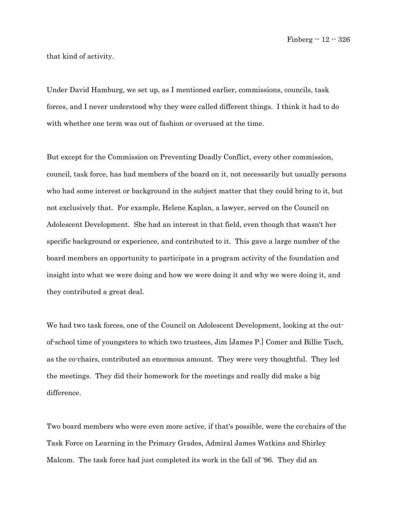Finberg -- 12 -- 326

that kind of activity.

Under David Hamburg, we set up, as I mentioned earlier, commissions, councils, task forces, and I never understood why they were called different things. I think it had to do with whether one term was out of fashion or overused at the time.

But except for the Commission on Preventing Deadly Conflict, every other commission, council, task force, has had members of the board on it, not necessarily but usually persons who had some interest or background in the subject matter that they could bring to it, but not exclusively that. For example, Helene Kaplan, a lawyer, served on the Council on Adolescent Development. She had an interest in that field, even though that wasn't her specific background or experience, and contributed to it. This gave a large number of the board members an opportunity to participate in a program activity of the foundation and insight into what we were doing and how we were doing it and why we were doing it, and they contributed a great deal.

We had two task forces, one of the Council on Adolescent Development, looking at the outof-school time of youngsters to which two trustees, Jim [James P.] Comer and Billie Tisch, as the co-chairs, contributed an enormous amount. They were very thoughtful. They led the meetings. They did their homework for the meetings and really did make a big difference.

Two board members who were even more active, if that's possible, were the co-chairs of the Task Force on Learning in the Primary Grades, Admiral James Watkins and Shirley Malcom. The task force had just completed its work in the fall of '96. They did an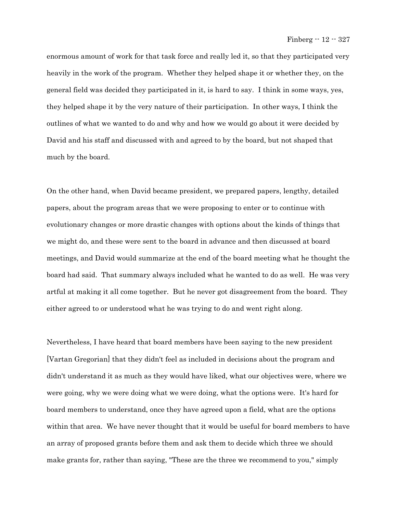enormous amount of work for that task force and really led it, so that they participated very heavily in the work of the program. Whether they helped shape it or whether they, on the general field was decided they participated in it, is hard to say. I think in some ways, yes, they helped shape it by the very nature of their participation. In other ways, I think the outlines of what we wanted to do and why and how we would go about it were decided by David and his staff and discussed with and agreed to by the board, but not shaped that much by the board.

On the other hand, when David became president, we prepared papers, lengthy, detailed papers, about the program areas that we were proposing to enter or to continue with evolutionary changes or more drastic changes with options about the kinds of things that we might do, and these were sent to the board in advance and then discussed at board meetings, and David would summarize at the end of the board meeting what he thought the board had said. That summary always included what he wanted to do as well. He was very artful at making it all come together. But he never got disagreement from the board. They either agreed to or understood what he was trying to do and went right along.

Nevertheless, I have heard that board members have been saying to the new president [Vartan Gregorian] that they didn't feel as included in decisions about the program and didn't understand it as much as they would have liked, what our objectives were, where we were going, why we were doing what we were doing, what the options were. It's hard for board members to understand, once they have agreed upon a field, what are the options within that area. We have never thought that it would be useful for board members to have an array of proposed grants before them and ask them to decide which three we should make grants for, rather than saying, "These are the three we recommend to you," simply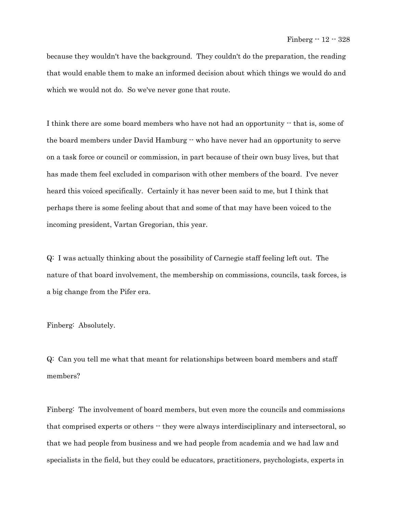because they wouldn't have the background. They couldn't do the preparation, the reading that would enable them to make an informed decision about which things we would do and which we would not do. So we've never gone that route.

I think there are some board members who have not had an opportunity  $\cdot$  that is, some of the board members under David Hamburg  $\cdot$  who have never had an opportunity to serve on a task force or council or commission, in part because of their own busy lives, but that has made them feel excluded in comparison with other members of the board. I've never heard this voiced specifically. Certainly it has never been said to me, but I think that perhaps there is some feeling about that and some of that may have been voiced to the incoming president, Vartan Gregorian, this year.

Q: I was actually thinking about the possibility of Carnegie staff feeling left out. The nature of that board involvement, the membership on commissions, councils, task forces, is a big change from the Pifer era.

Finberg: Absolutely.

Q: Can you tell me what that meant for relationships between board members and staff members?

Finberg: The involvement of board members, but even more the councils and commissions that comprised experts or others  $-$  they were always interdisciplinary and intersectoral, so that we had people from business and we had people from academia and we had law and specialists in the field, but they could be educators, practitioners, psychologists, experts in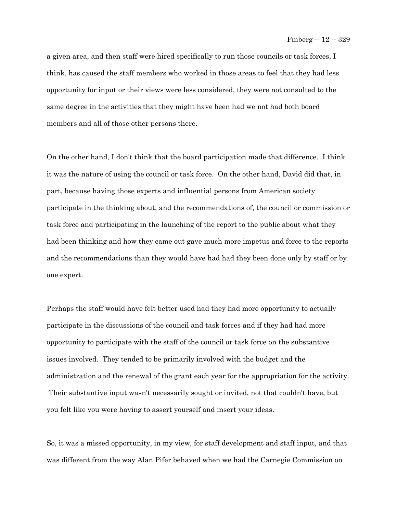a given area, and then staff were hired specifically to run those councils or task forces, I think, has caused the staff members who worked in those areas to feel that they had less opportunity for input or their views were less considered, they were not consulted to the same degree in the activities that they might have been had we not had both board members and all of those other persons there.

On the other hand, I don't think that the board participation made that difference. I think it was the nature of using the council or task force. On the other hand, David did that, in part, because having those experts and influential persons from American society participate in the thinking about, and the recommendations of, the council or commission or task force and participating in the launching of the report to the public about what they had been thinking and how they came out gave much more impetus and force to the reports and the recommendations than they would have had had they been done only by staff or by one expert.

Perhaps the staff would have felt better used had they had more opportunity to actually participate in the discussions of the council and task forces and if they had had more opportunity to participate with the staff of the council or task force on the substantive issues involved. They tended to be primarily involved with the budget and the administration and the renewal of the grant each year for the appropriation for the activity. Their substantive input wasn't necessarily sought or invited, not that couldn't have, but you felt like you were having to assert yourself and insert your ideas.

So, it was a missed opportunity, in my view, for staff development and staff input, and that was different from the way Alan Pifer behaved when we had the Carnegie Commission on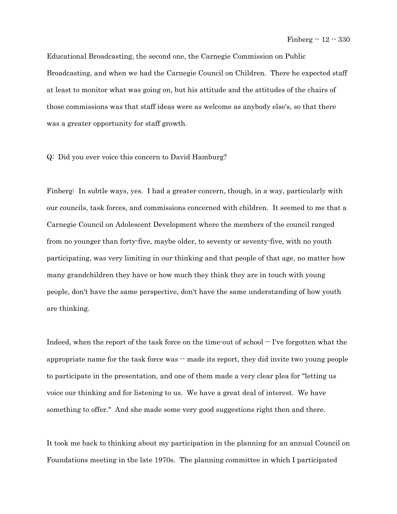Educational Broadcasting, the second one, the Carnegie Commission on Public Broadcasting, and when we had the Carnegie Council on Children. There he expected staff at least to monitor what was going on, but his attitude and the attitudes of the chairs of those commissions was that staff ideas were as welcome as anybody else's, so that there was a greater opportunity for staff growth.

## Q: Did you ever voice this concern to David Hamburg?

Finberg: In subtle ways, yes. I had a greater concern, though, in a way, particularly with our councils, task forces, and commissions concerned with children. It seemed to me that a Carnegie Council on Adolescent Development where the members of the council ranged from no younger than forty-five, maybe older, to seventy or seventy-five, with no youth participating, was very limiting in our thinking and that people of that age, no matter how many grandchildren they have or how much they think they are in touch with young people, don't have the same perspective, don't have the same understanding of how youth are thinking.

Indeed, when the report of the task force on the time-out of school  $\cdot$ - I've forgotten what the appropriate name for the task force was -- made its report, they did invite two young people to participate in the presentation, and one of them made a very clear plea for "letting us voice our thinking and for listening to us. We have a great deal of interest. We have something to offer." And she made some very good suggestions right then and there.

It took me back to thinking about my participation in the planning for an annual Council on Foundations meeting in the late 1970s. The planning committee in which I participated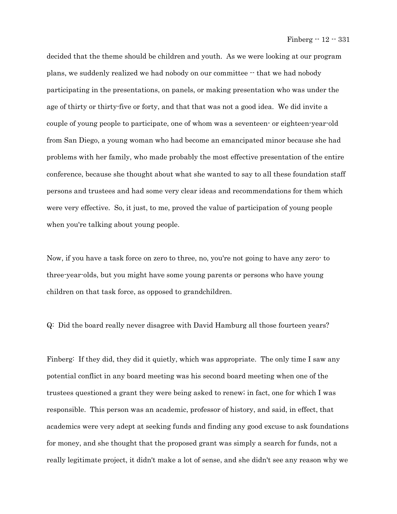decided that the theme should be children and youth. As we were looking at our program plans, we suddenly realized we had nobody on our committee -- that we had nobody participating in the presentations, on panels, or making presentation who was under the age of thirty or thirty-five or forty, and that that was not a good idea. We did invite a couple of young people to participate, one of whom was a seventeen- or eighteen-year-old from San Diego, a young woman who had become an emancipated minor because she had problems with her family, who made probably the most effective presentation of the entire conference, because she thought about what she wanted to say to all these foundation staff persons and trustees and had some very clear ideas and recommendations for them which were very effective. So, it just, to me, proved the value of participation of young people when you're talking about young people.

Now, if you have a task force on zero to three, no, you're not going to have any zero- to three-year-olds, but you might have some young parents or persons who have young children on that task force, as opposed to grandchildren.

Q: Did the board really never disagree with David Hamburg all those fourteen years?

Finberg: If they did, they did it quietly, which was appropriate. The only time I saw any potential conflict in any board meeting was his second board meeting when one of the trustees questioned a grant they were being asked to renew; in fact, one for which I was responsible. This person was an academic, professor of history, and said, in effect, that academics were very adept at seeking funds and finding any good excuse to ask foundations for money, and she thought that the proposed grant was simply a search for funds, not a really legitimate project, it didn't make a lot of sense, and she didn't see any reason why we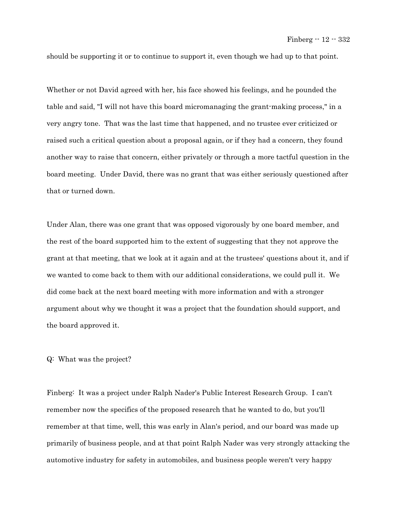should be supporting it or to continue to support it, even though we had up to that point.

Whether or not David agreed with her, his face showed his feelings, and he pounded the table and said, "I will not have this board micromanaging the grant-making process," in a very angry tone. That was the last time that happened, and no trustee ever criticized or raised such a critical question about a proposal again, or if they had a concern, they found another way to raise that concern, either privately or through a more tactful question in the board meeting. Under David, there was no grant that was either seriously questioned after that or turned down.

Under Alan, there was one grant that was opposed vigorously by one board member, and the rest of the board supported him to the extent of suggesting that they not approve the grant at that meeting, that we look at it again and at the trustees' questions about it, and if we wanted to come back to them with our additional considerations, we could pull it. We did come back at the next board meeting with more information and with a stronger argument about why we thought it was a project that the foundation should support, and the board approved it.

## Q: What was the project?

Finberg: It was a project under Ralph Nader's Public Interest Research Group. I can't remember now the specifics of the proposed research that he wanted to do, but you'll remember at that time, well, this was early in Alan's period, and our board was made up primarily of business people, and at that point Ralph Nader was very strongly attacking the automotive industry for safety in automobiles, and business people weren't very happy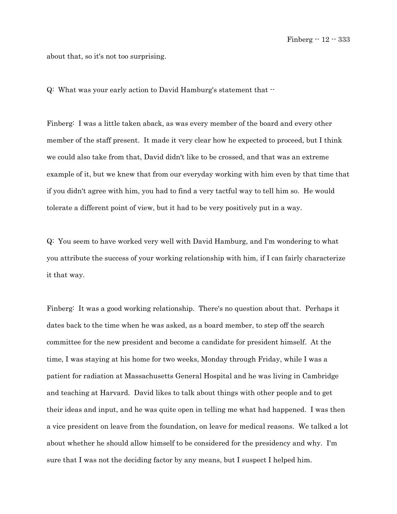about that, so it's not too surprising.

Q: What was your early action to David Hamburg's statement that --

Finberg: I was a little taken aback, as was every member of the board and every other member of the staff present. It made it very clear how he expected to proceed, but I think we could also take from that, David didn't like to be crossed, and that was an extreme example of it, but we knew that from our everyday working with him even by that time that if you didn't agree with him, you had to find a very tactful way to tell him so. He would tolerate a different point of view, but it had to be very positively put in a way.

Q: You seem to have worked very well with David Hamburg, and I'm wondering to what you attribute the success of your working relationship with him, if I can fairly characterize it that way.

Finberg: It was a good working relationship. There's no question about that. Perhaps it dates back to the time when he was asked, as a board member, to step off the search committee for the new president and become a candidate for president himself. At the time, I was staying at his home for two weeks, Monday through Friday, while I was a patient for radiation at Massachusetts General Hospital and he was living in Cambridge and teaching at Harvard. David likes to talk about things with other people and to get their ideas and input, and he was quite open in telling me what had happened. I was then a vice president on leave from the foundation, on leave for medical reasons. We talked a lot about whether he should allow himself to be considered for the presidency and why. I'm sure that I was not the deciding factor by any means, but I suspect I helped him.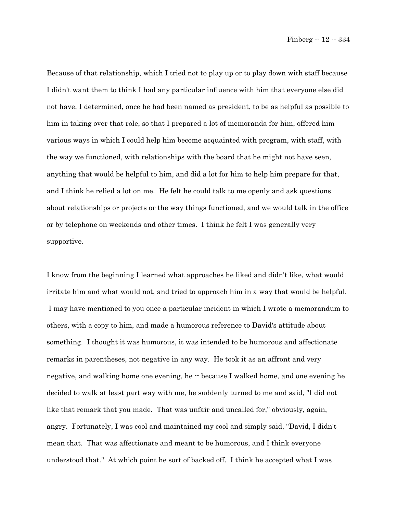Because of that relationship, which I tried not to play up or to play down with staff because I didn't want them to think I had any particular influence with him that everyone else did not have, I determined, once he had been named as president, to be as helpful as possible to him in taking over that role, so that I prepared a lot of memoranda for him, offered him various ways in which I could help him become acquainted with program, with staff, with the way we functioned, with relationships with the board that he might not have seen, anything that would be helpful to him, and did a lot for him to help him prepare for that, and I think he relied a lot on me. He felt he could talk to me openly and ask questions about relationships or projects or the way things functioned, and we would talk in the office or by telephone on weekends and other times. I think he felt I was generally very supportive.

I know from the beginning I learned what approaches he liked and didn't like, what would irritate him and what would not, and tried to approach him in a way that would be helpful. I may have mentioned to you once a particular incident in which I wrote a memorandum to others, with a copy to him, and made a humorous reference to David's attitude about something. I thought it was humorous, it was intended to be humorous and affectionate remarks in parentheses, not negative in any way. He took it as an affront and very negative, and walking home one evening, he  $\cdot$  because I walked home, and one evening he decided to walk at least part way with me, he suddenly turned to me and said, "I did not like that remark that you made. That was unfair and uncalled for," obviously, again, angry. Fortunately, I was cool and maintained my cool and simply said, "David, I didn't mean that. That was affectionate and meant to be humorous, and I think everyone understood that." At which point he sort of backed off. I think he accepted what I was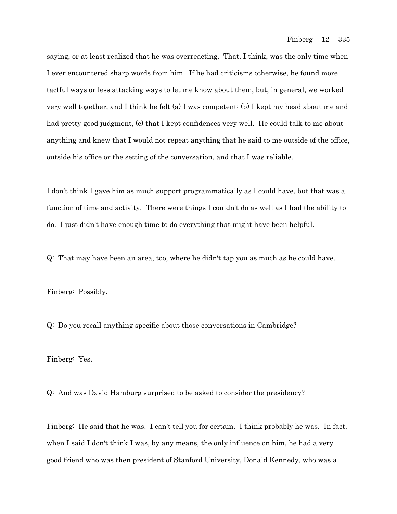saying, or at least realized that he was overreacting. That, I think, was the only time when I ever encountered sharp words from him. If he had criticisms otherwise, he found more tactful ways or less attacking ways to let me know about them, but, in general, we worked very well together, and I think he felt (a) I was competent; (b) I kept my head about me and had pretty good judgment, (c) that I kept confidences very well. He could talk to me about anything and knew that I would not repeat anything that he said to me outside of the office, outside his office or the setting of the conversation, and that I was reliable.

I don't think I gave him as much support programmatically as I could have, but that was a function of time and activity. There were things I couldn't do as well as I had the ability to do. I just didn't have enough time to do everything that might have been helpful.

Q: That may have been an area, too, where he didn't tap you as much as he could have.

Finberg: Possibly.

Q: Do you recall anything specific about those conversations in Cambridge?

Finberg: Yes.

Q: And was David Hamburg surprised to be asked to consider the presidency?

Finberg: He said that he was. I can't tell you for certain. I think probably he was. In fact, when I said I don't think I was, by any means, the only influence on him, he had a very good friend who was then president of Stanford University, Donald Kennedy, who was a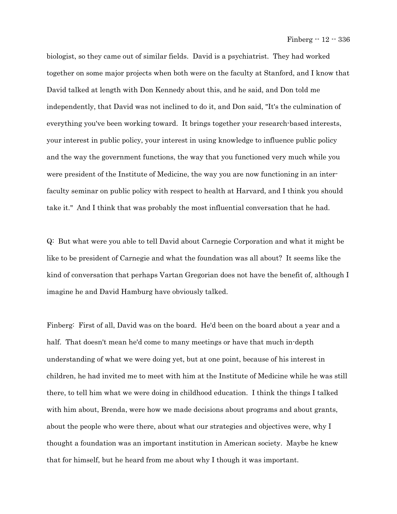Finberg -- 12 -- 336

biologist, so they came out of similar fields. David is a psychiatrist. They had worked together on some major projects when both were on the faculty at Stanford, and I know that David talked at length with Don Kennedy about this, and he said, and Don told me independently, that David was not inclined to do it, and Don said, "It's the culmination of everything you've been working toward. It brings together your research-based interests, your interest in public policy, your interest in using knowledge to influence public policy and the way the government functions, the way that you functioned very much while you were president of the Institute of Medicine, the way you are now functioning in an interfaculty seminar on public policy with respect to health at Harvard, and I think you should take it." And I think that was probably the most influential conversation that he had.

Q: But what were you able to tell David about Carnegie Corporation and what it might be like to be president of Carnegie and what the foundation was all about? It seems like the kind of conversation that perhaps Vartan Gregorian does not have the benefit of, although I imagine he and David Hamburg have obviously talked.

Finberg: First of all, David was on the board. He'd been on the board about a year and a half. That doesn't mean he'd come to many meetings or have that much in-depth understanding of what we were doing yet, but at one point, because of his interest in children, he had invited me to meet with him at the Institute of Medicine while he was still there, to tell him what we were doing in childhood education. I think the things I talked with him about, Brenda, were how we made decisions about programs and about grants, about the people who were there, about what our strategies and objectives were, why I thought a foundation was an important institution in American society. Maybe he knew that for himself, but he heard from me about why I though it was important.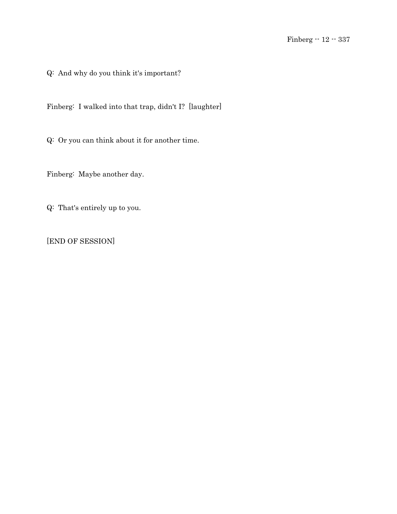Q: And why do you think it's important?

Finberg: I walked into that trap, didn't I? [laughter]

Q: Or you can think about it for another time.

Finberg: Maybe another day.

Q: That's entirely up to you.

[END OF SESSION]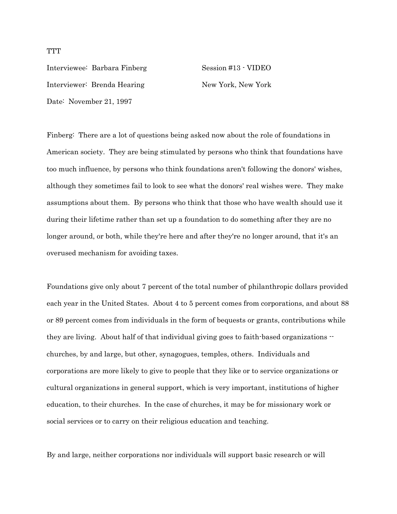Interviewee: Barbara Finberg Session #13 - VIDEO Interviewer: Brenda Hearing New York, New York Date: November 21, 1997

Finberg: There are a lot of questions being asked now about the role of foundations in American society. They are being stimulated by persons who think that foundations have too much influence, by persons who think foundations aren't following the donors' wishes, although they sometimes fail to look to see what the donors' real wishes were. They make assumptions about them. By persons who think that those who have wealth should use it during their lifetime rather than set up a foundation to do something after they are no longer around, or both, while they're here and after they're no longer around, that it's an overused mechanism for avoiding taxes.

Foundations give only about 7 percent of the total number of philanthropic dollars provided each year in the United States. About 4 to 5 percent comes from corporations, and about 88 or 89 percent comes from individuals in the form of bequests or grants, contributions while they are living. About half of that individual giving goes to faith-based organizations  $\cdot$ churches, by and large, but other, synagogues, temples, others. Individuals and corporations are more likely to give to people that they like or to service organizations or cultural organizations in general support, which is very important, institutions of higher education, to their churches. In the case of churches, it may be for missionary work or social services or to carry on their religious education and teaching.

By and large, neither corporations nor individuals will support basic research or will

**TTT**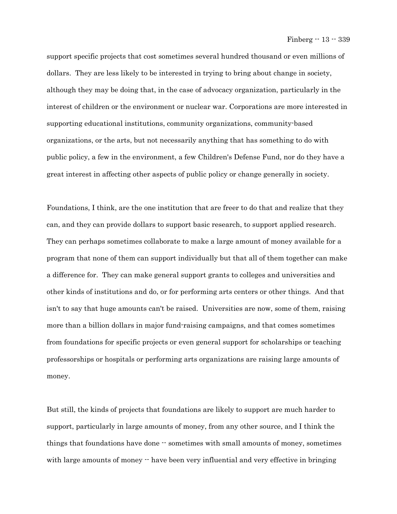support specific projects that cost sometimes several hundred thousand or even millions of dollars. They are less likely to be interested in trying to bring about change in society, although they may be doing that, in the case of advocacy organization, particularly in the interest of children or the environment or nuclear war. Corporations are more interested in supporting educational institutions, community organizations, community-based organizations, or the arts, but not necessarily anything that has something to do with public policy, a few in the environment, a few Children's Defense Fund, nor do they have a great interest in affecting other aspects of public policy or change generally in society.

Foundations, I think, are the one institution that are freer to do that and realize that they can, and they can provide dollars to support basic research, to support applied research. They can perhaps sometimes collaborate to make a large amount of money available for a program that none of them can support individually but that all of them together can make a difference for. They can make general support grants to colleges and universities and other kinds of institutions and do, or for performing arts centers or other things. And that isn't to say that huge amounts can't be raised. Universities are now, some of them, raising more than a billion dollars in major fund-raising campaigns, and that comes sometimes from foundations for specific projects or even general support for scholarships or teaching professorships or hospitals or performing arts organizations are raising large amounts of money.

But still, the kinds of projects that foundations are likely to support are much harder to support, particularly in large amounts of money, from any other source, and I think the things that foundations have done  $-$  sometimes with small amounts of money, sometimes with large amounts of money  $\cdot$  have been very influential and very effective in bringing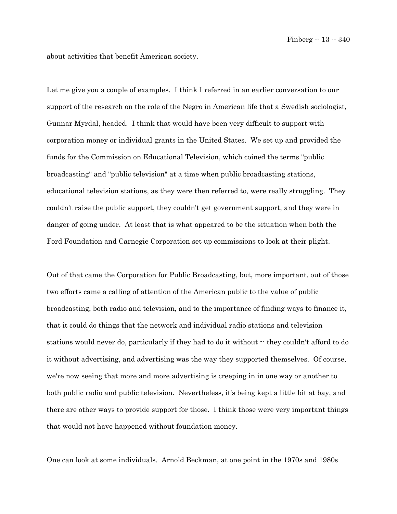about activities that benefit American society.

Let me give you a couple of examples. I think I referred in an earlier conversation to our support of the research on the role of the Negro in American life that a Swedish sociologist, Gunnar Myrdal, headed. I think that would have been very difficult to support with corporation money or individual grants in the United States. We set up and provided the funds for the Commission on Educational Television, which coined the terms "public broadcasting" and "public television" at a time when public broadcasting stations, educational television stations, as they were then referred to, were really struggling. They couldn't raise the public support, they couldn't get government support, and they were in danger of going under. At least that is what appeared to be the situation when both the Ford Foundation and Carnegie Corporation set up commissions to look at their plight.

Out of that came the Corporation for Public Broadcasting, but, more important, out of those two efforts came a calling of attention of the American public to the value of public broadcasting, both radio and television, and to the importance of finding ways to finance it, that it could do things that the network and individual radio stations and television stations would never do, particularly if they had to do it without  $\cdot$  they couldn't afford to do it without advertising, and advertising was the way they supported themselves. Of course, we're now seeing that more and more advertising is creeping in in one way or another to both public radio and public television. Nevertheless, it's being kept a little bit at bay, and there are other ways to provide support for those. I think those were very important things that would not have happened without foundation money.

One can look at some individuals. Arnold Beckman, at one point in the 1970s and 1980s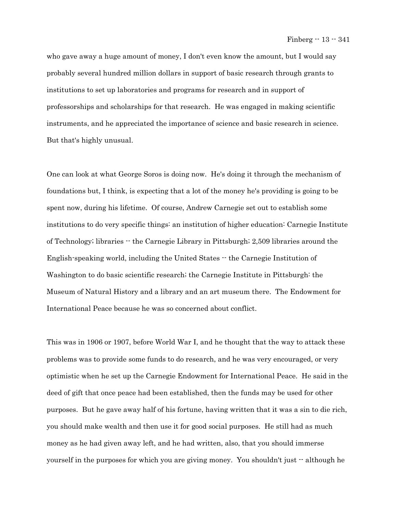who gave away a huge amount of money, I don't even know the amount, but I would say probably several hundred million dollars in support of basic research through grants to institutions to set up laboratories and programs for research and in support of professorships and scholarships for that research. He was engaged in making scientific instruments, and he appreciated the importance of science and basic research in science. But that's highly unusual.

One can look at what George Soros is doing now. He's doing it through the mechanism of foundations but, I think, is expecting that a lot of the money he's providing is going to be spent now, during his lifetime. Of course, Andrew Carnegie set out to establish some institutions to do very specific things: an institution of higher education: Carnegie Institute of Technology; libraries -- the Carnegie Library in Pittsburgh; 2,509 libraries around the English-speaking world, including the United States -- the Carnegie Institution of Washington to do basic scientific research; the Carnegie Institute in Pittsburgh: the Museum of Natural History and a library and an art museum there. The Endowment for International Peace because he was so concerned about conflict.

This was in 1906 or 1907, before World War I, and he thought that the way to attack these problems was to provide some funds to do research, and he was very encouraged, or very optimistic when he set up the Carnegie Endowment for International Peace. He said in the deed of gift that once peace had been established, then the funds may be used for other purposes. But he gave away half of his fortune, having written that it was a sin to die rich, you should make wealth and then use it for good social purposes. He still had as much money as he had given away left, and he had written, also, that you should immerse yourself in the purposes for which you are giving money. You shouldn't just -- although he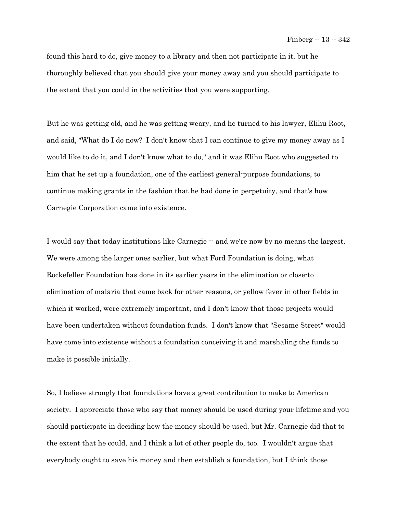found this hard to do, give money to a library and then not participate in it, but he thoroughly believed that you should give your money away and you should participate to the extent that you could in the activities that you were supporting.

But he was getting old, and he was getting weary, and he turned to his lawyer, Elihu Root, and said, "What do I do now? I don't know that I can continue to give my money away as I would like to do it, and I don't know what to do," and it was Elihu Root who suggested to him that he set up a foundation, one of the earliest general-purpose foundations, to continue making grants in the fashion that he had done in perpetuity, and that's how Carnegie Corporation came into existence.

I would say that today institutions like Carnegie -- and we're now by no means the largest. We were among the larger ones earlier, but what Ford Foundation is doing, what Rockefeller Foundation has done in its earlier years in the elimination or close-to elimination of malaria that came back for other reasons, or yellow fever in other fields in which it worked, were extremely important, and I don't know that those projects would have been undertaken without foundation funds. I don't know that "Sesame Street" would have come into existence without a foundation conceiving it and marshaling the funds to make it possible initially.

So, I believe strongly that foundations have a great contribution to make to American society. I appreciate those who say that money should be used during your lifetime and you should participate in deciding how the money should be used, but Mr. Carnegie did that to the extent that he could, and I think a lot of other people do, too. I wouldn't argue that everybody ought to save his money and then establish a foundation, but I think those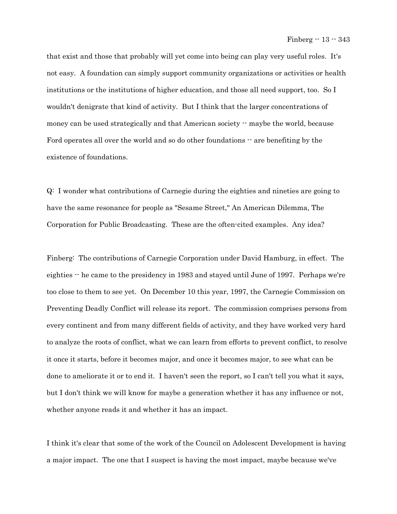that exist and those that probably will yet come into being can play very useful roles. It's not easy. A foundation can simply support community organizations or activities or health institutions or the institutions of higher education, and those all need support, too. So I wouldn't denigrate that kind of activity. But I think that the larger concentrations of money can be used strategically and that American society  $\cdot$  maybe the world, because Ford operates all over the world and so do other foundations  $-$  are benefiting by the existence of foundations.

Q: I wonder what contributions of Carnegie during the eighties and nineties are going to have the same resonance for people as "Sesame Street," An American Dilemma, The Corporation for Public Broadcasting. These are the often-cited examples. Any idea?

Finberg: The contributions of Carnegie Corporation under David Hamburg, in effect. The eighties  $\cdot$  he came to the presidency in 1983 and stayed until June of 1997. Perhaps we're too close to them to see yet. On December 10 this year, 1997, the Carnegie Commission on Preventing Deadly Conflict will release its report. The commission comprises persons from every continent and from many different fields of activity, and they have worked very hard to analyze the roots of conflict, what we can learn from efforts to prevent conflict, to resolve it once it starts, before it becomes major, and once it becomes major, to see what can be done to ameliorate it or to end it. I haven't seen the report, so I can't tell you what it says, but I don't think we will know for maybe a generation whether it has any influence or not, whether anyone reads it and whether it has an impact.

I think it's clear that some of the work of the Council on Adolescent Development is having a major impact. The one that I suspect is having the most impact, maybe because we've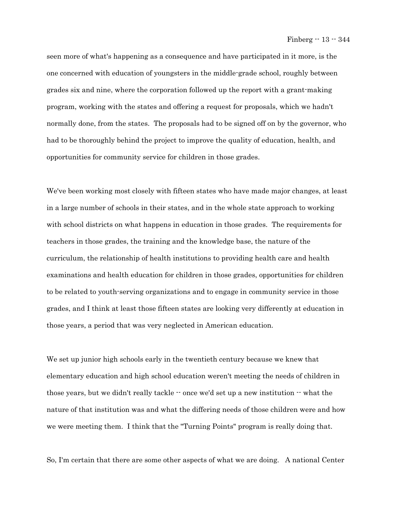seen more of what's happening as a consequence and have participated in it more, is the one concerned with education of youngsters in the middle-grade school, roughly between grades six and nine, where the corporation followed up the report with a grant-making program, working with the states and offering a request for proposals, which we hadn't normally done, from the states. The proposals had to be signed off on by the governor, who had to be thoroughly behind the project to improve the quality of education, health, and opportunities for community service for children in those grades.

We've been working most closely with fifteen states who have made major changes, at least in a large number of schools in their states, and in the whole state approach to working with school districts on what happens in education in those grades. The requirements for teachers in those grades, the training and the knowledge base, the nature of the curriculum, the relationship of health institutions to providing health care and health examinations and health education for children in those grades, opportunities for children to be related to youth-serving organizations and to engage in community service in those grades, and I think at least those fifteen states are looking very differently at education in those years, a period that was very neglected in American education.

We set up junior high schools early in the twentieth century because we knew that elementary education and high school education weren't meeting the needs of children in those years, but we didn't really tackle  $\cdot \cdot$  once we'd set up a new institution  $\cdot \cdot$  what the nature of that institution was and what the differing needs of those children were and how we were meeting them. I think that the "Turning Points" program is really doing that.

So, I'm certain that there are some other aspects of what we are doing. A national Center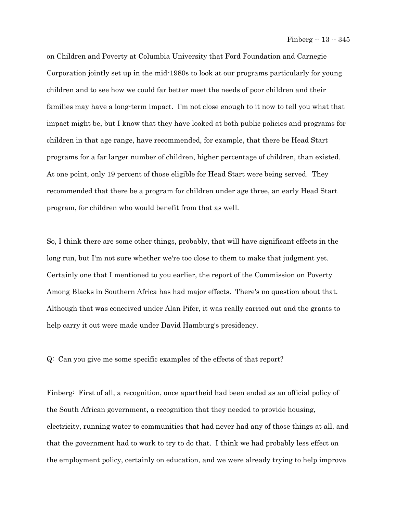on Children and Poverty at Columbia University that Ford Foundation and Carnegie Corporation jointly set up in the mid-1980s to look at our programs particularly for young children and to see how we could far better meet the needs of poor children and their families may have a long-term impact. I'm not close enough to it now to tell you what that impact might be, but I know that they have looked at both public policies and programs for children in that age range, have recommended, for example, that there be Head Start programs for a far larger number of children, higher percentage of children, than existed. At one point, only 19 percent of those eligible for Head Start were being served. They recommended that there be a program for children under age three, an early Head Start program, for children who would benefit from that as well.

So, I think there are some other things, probably, that will have significant effects in the long run, but I'm not sure whether we're too close to them to make that judgment yet. Certainly one that I mentioned to you earlier, the report of the Commission on Poverty Among Blacks in Southern Africa has had major effects. There's no question about that. Although that was conceived under Alan Pifer, it was really carried out and the grants to help carry it out were made under David Hamburg's presidency.

Q: Can you give me some specific examples of the effects of that report?

Finberg: First of all, a recognition, once apartheid had been ended as an official policy of the South African government, a recognition that they needed to provide housing, electricity, running water to communities that had never had any of those things at all, and that the government had to work to try to do that. I think we had probably less effect on the employment policy, certainly on education, and we were already trying to help improve